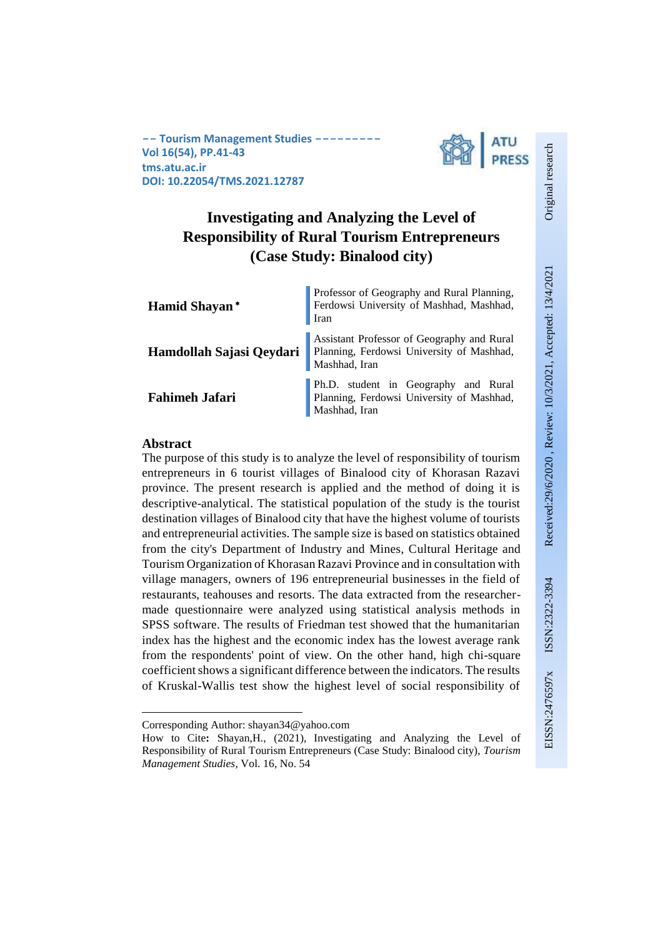**-- Tourism Management Studies --------- Vol 16(54), PP.41-43 tms.atu.ac.ir DOI: 10.22054/TMS.2021.12787**



## **Investigating and Analyzing the Level of Responsibility of Rural Tourism Entrepreneurs (Case Study: Binalood city)**

**Hamid Shayan** Iran **Hamdollah Sajasi Qeydari**

**Fahimeh Jafari**

Professor of Geography and Rural Planning, Ferdowsi University of Mashhad, Mashhad,

Assistant Professor of Geography and Rural Planning, Ferdowsi University of Mashhad, Mashhad, Iran

Ph.D. student in Geography and Rural Planning, Ferdowsi University of Mashhad, Mashhad, Iran

### **Abstract**

The purpose of this study is to analyze the level of responsibility of tourism entrepreneurs in 6 tourist villages of Binalood city of Khorasan Razavi province. The present research is applied and the method of doing it is descriptive-analytical. The statistical population of the study is the tourist destination villages of Binalood city that have the highest volume of tourists and entrepreneurial activities. The sample size is based on statistics obtained from the city's Department of Industry and Mines, Cultural Heritage and Tourism Organization of Khorasan Razavi Province and in consultation with village managers, owners of 196 entrepreneurial businesses in the field of restaurants, teahouses and resorts. The data extracted from the researchermade questionnaire were analyzed using statistical analysis methods in SPSS software. The results of Friedman test showed that the humanitarian index has the highest and the economic index has the lowest average rank from the respondents' point of view. On the other hand, high chi-square coefficient shows a significant difference between the indicators. The results of Kruskal-Wallis test show the highest level of social responsibility of Original research

Original research

<sup>1</sup> Corresponding Author: shayan34@yahoo.com

How to Cite**:** Shayan,H., (2021), Investigating and Analyzing the Level of Responsibility of Rural Tourism Entrepreneurs (Case Study: Binalood city), *Tourism Management Studies*, Vol. 16, No. 54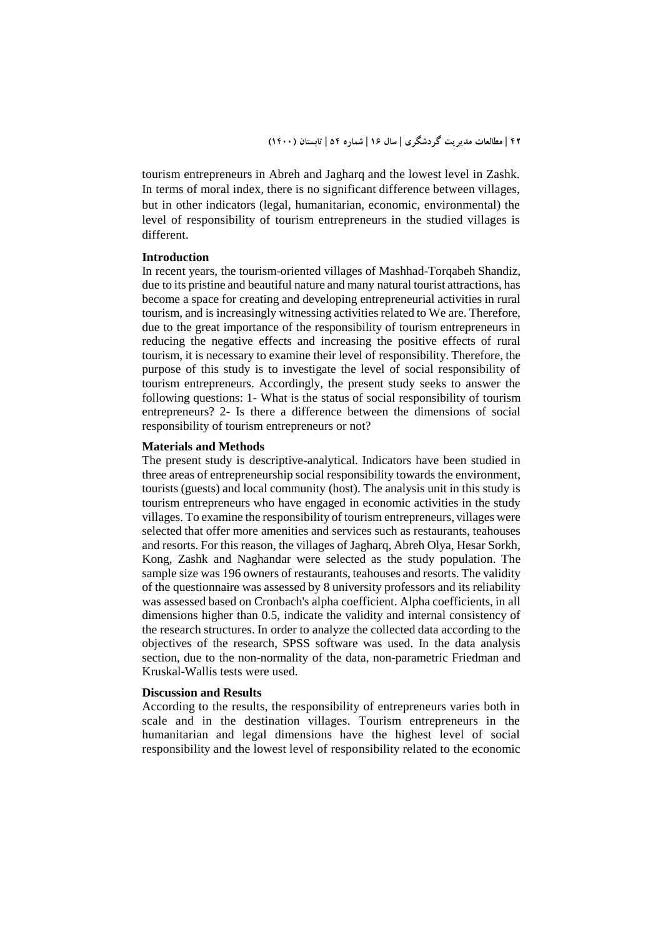tourism entrepreneurs in Abreh and Jagharq and the lowest level in Zashk. In terms of moral index, there is no significant difference between villages, but in other indicators (legal, humanitarian, economic, environmental) the level of responsibility of tourism entrepreneurs in the studied villages is different.

### **Introduction**

In recent years, the tourism-oriented villages of Mashhad-Torqabeh Shandiz, due to its pristine and beautiful nature and many natural tourist attractions, has become a space for creating and developing entrepreneurial activities in rural tourism, and is increasingly witnessing activities related to We are. Therefore, due to the great importance of the responsibility of tourism entrepreneurs in reducing the negative effects and increasing the positive effects of rural tourism, it is necessary to examine their level of responsibility. Therefore, the purpose of this study is to investigate the level of social responsibility of tourism entrepreneurs. Accordingly, the present study seeks to answer the following questions: 1- What is the status of social responsibility of tourism entrepreneurs? 2- Is there a difference between the dimensions of social responsibility of tourism entrepreneurs or not?

### **Materials and Methods**

The present study is descriptive-analytical. Indicators have been studied in three areas of entrepreneurship social responsibility towards the environment, tourists (guests) and local community (host). The analysis unit in this study is tourism entrepreneurs who have engaged in economic activities in the study villages. To examine the responsibility of tourism entrepreneurs, villages were selected that offer more amenities and services such as restaurants, teahouses and resorts. For this reason, the villages of Jagharq, Abreh Olya, Hesar Sorkh, Kong, Zashk and Naghandar were selected as the study population. The sample size was 196 owners of restaurants, teahouses and resorts. The validity of the questionnaire was assessed by 8 university professors and its reliability was assessed based on Cronbach's alpha coefficient. Alpha coefficients, in all dimensions higher than 0.5, indicate the validity and internal consistency of the research structures. In order to analyze the collected data according to the objectives of the research, SPSS software was used. In the data analysis section, due to the non-normality of the data, non-parametric Friedman and Kruskal-Wallis tests were used.

#### **Discussion and Results**

According to the results, the responsibility of entrepreneurs varies both in scale and in the destination villages. Tourism entrepreneurs in the humanitarian and legal dimensions have the highest level of social responsibility and the lowest level of responsibility related to the economic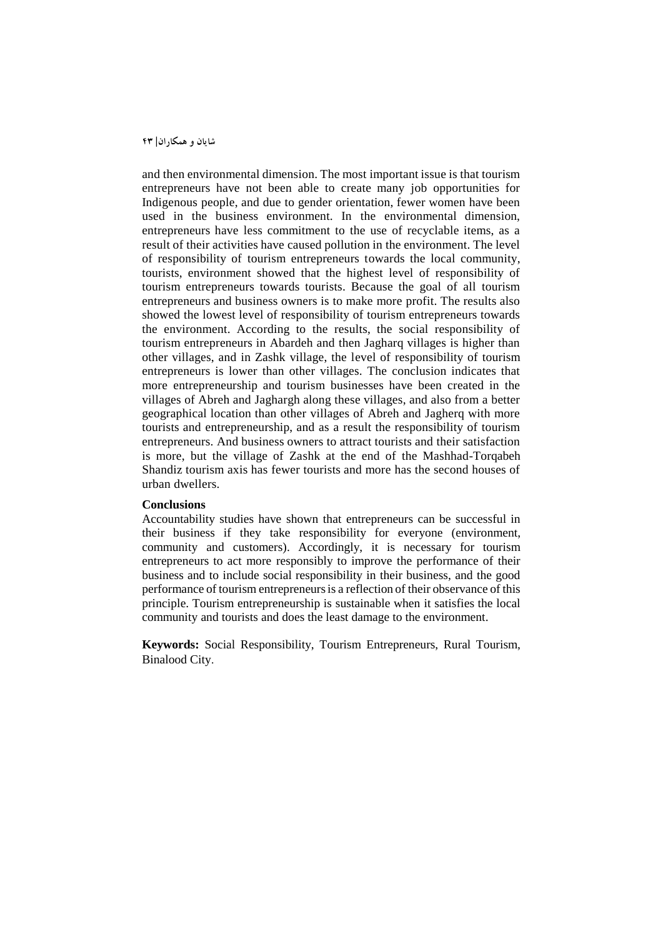and then environmental dimension. The most important issue is that tourism entrepreneurs have not been able to create many job opportunities for Indigenous people, and due to gender orientation, fewer women have been used in the business environment. In the environmental dimension, entrepreneurs have less commitment to the use of recyclable items, as a result of their activities have caused pollution in the environment. The level of responsibility of tourism entrepreneurs towards the local community, tourists, environment showed that the highest level of responsibility of tourism entrepreneurs towards tourists. Because the goal of all tourism entrepreneurs and business owners is to make more profit. The results also showed the lowest level of responsibility of tourism entrepreneurs towards the environment. According to the results, the social responsibility of tourism entrepreneurs in Abardeh and then Jagharq villages is higher than other villages, and in Zashk village, the level of responsibility of tourism entrepreneurs is lower than other villages. The conclusion indicates that more entrepreneurship and tourism businesses have been created in the villages of Abreh and Jaghargh along these villages, and also from a better geographical location than other villages of Abreh and Jagherq with more tourists and entrepreneurship, and as a result the responsibility of tourism entrepreneurs. And business owners to attract tourists and their satisfaction is more, but the village of Zashk at the end of the Mashhad-Torqabeh Shandiz tourism axis has fewer tourists and more has the second houses of urban dwellers.

### **Conclusions**

Accountability studies have shown that entrepreneurs can be successful in their business if they take responsibility for everyone (environment, community and customers). Accordingly, it is necessary for tourism entrepreneurs to act more responsibly to improve the performance of their business and to include social responsibility in their business, and the good performance of tourism entrepreneurs is a reflection of their observance of this principle. Tourism entrepreneurship is sustainable when it satisfies the local community and tourists and does the least damage to the environment.

**Keywords:** Social Responsibility, Tourism Entrepreneurs, Rural Tourism, Binalood City.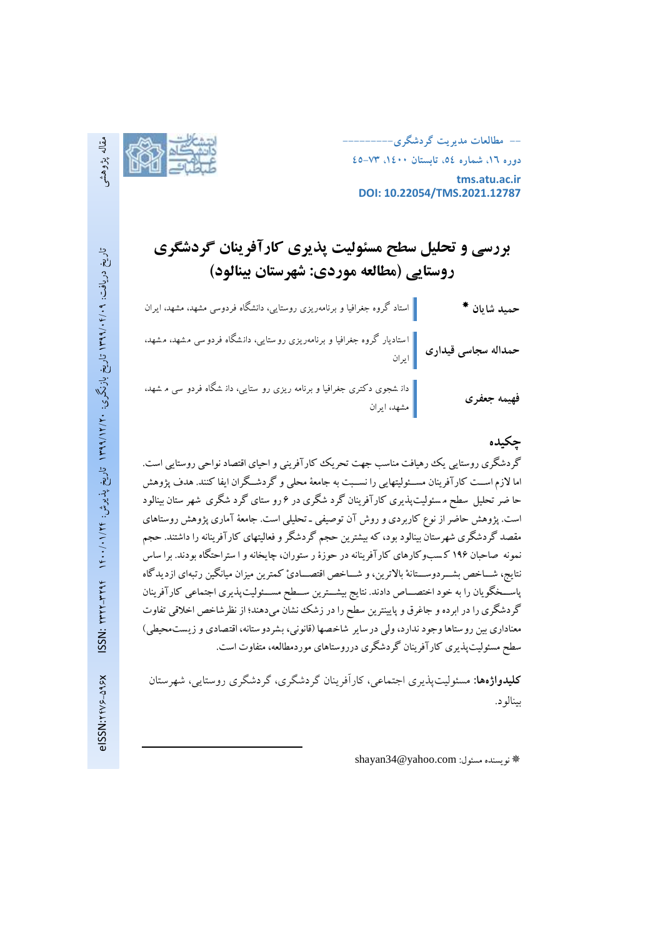**-- مطالعات مديريت گردشگري--------- دوره ،16 شماره ،54 تابستان ،1400 45-73 tms.atu.ac.ir**



**DOI: 10.22054/TMS.2021.12787**

# **بررسی و تحلیل سط مسئولیت پذیری کارآفرینان گردشگری روستایی )مطالعه موردی: شهرستان بینالود(**

| حمي <mark>د</mark> شايان * | استاد گروه جغرافیا و برنامەریزی روستایی، دانشگاه فردوسی مشهد، مشهد، ایران                                         |
|----------------------------|-------------------------------------------------------------------------------------------------------------------|
|                            | حمداله سجاسی قیداری مستادیار گروه جغرافیا و برنامهریزی روستایی، دانشگاه فردوسی مشهد، مشهد،<br>حمداله سجاسی قیداری |
| فهيمه جعفرى                | دان شجوی دکتری جغرافیا و برنامه ریزی رو ستایی، دان شگاه فردو سی م شهد،<br> <br>  مشهد، ایران                      |

### **چكیده**

گردشگری روستايي يک رهيافت مناسب جهت تحريک کارآفريني واحيای اقتصاد نواحي روستايي است. اما لازم اســت کارآفرينان مســئوليتهايي را نســبت به جامعهٔ محلي و گردشــگران ايفا کنند. هدف پژوهش حا ضر تحليل سطح م سئوليت پذيری کارآفرينان گرد شگری در ۶ رو ستای گرد شگری شهر ستان بينالود است. پژوهش حاضر از نوع کاربردی و روش آن توصيفي ـ تحليلي است. جامعهٔ آماری پژوهش روستاهای مقصد گردشگری شهرستان بينالود بود، که بيشترين حجم گردشگر و فعاليتهای کارآفرينانه را داشتند. حجم نمونه صاحبان ۱۹۶ کسبوکارهای کارآفرينانه در حوزۀ ر ستوران، چايخانه و ا ستراحتگاه بودند. برا ساس نتايج، شـــاخص بشـــردوســـتانهْ بالاترين، و شـــاخص اقتصـــادیْ کمترين ميزان ميانگين رتبهای ازديدگاه پاســخگويان را به خود اختصـــاص دادند. نتايج بيشـــترين ســـطح مســـئوليت¢نديری اجتماعی کارآفرينان گردشگری را در ابرده و جاغرق و پايينترين سطح را در زشک نشان ميدهند؛ از نظرشاخص اخلاقي تفاوت معناداری بين روستاها وجود ندارد، ولي درساير شاخصها (قانوني، بشردوستانه، اقتصادي و زيست محيطي) سطح مسئوليتپذيری کارآفرينان گردشگری درروستاهای موردمطالعه، متفاوت است.

**کلیدواژهها:** مسئولیتپذیری اجتماعی، کارآفرینان گردشگری، گردشگری روستایی، شهرستان بینالود.

shayan34@yahoo.com :مسئول نويسنده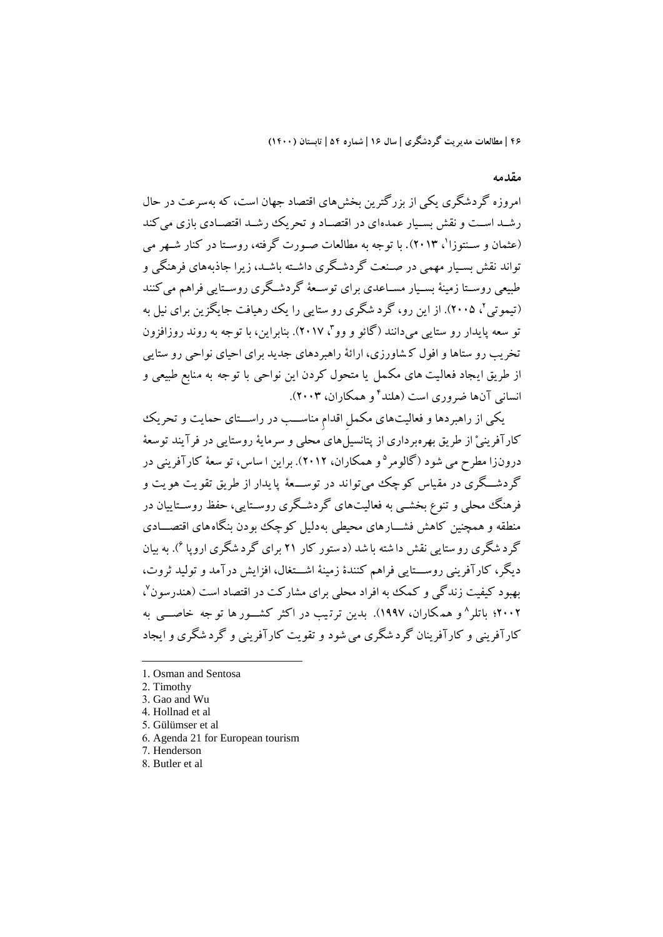### **مقدمه**

امروزه گردشگری يکي از بزرگترين بخشهای اقتصاد جهان است، که به سرعت در حال رشـد اسـت و نقش بسـيار عمدهای در اقتصـاد و تحريک رشـد اقتصـادی بازی مي کند (عثمان و سـنتوزا`، ۲۰۱۳). با توجه به مطالعات صـورت گرفته، روسـتا در کنار شـهر مى تواند نقش بسـيار مهمي در صـنعت گردشـگری داشـته باشـد، زيرا جاذبههای فرهنگي و طبيعي روسـتا زمينهٔ بسـيار مســاعدی برای توســعهٔ گردشــگری روســتايي فراهم مي کنند (تيموتي'، ٢٠٠۵). از اين رو، گرد شگری رو ستايي را يک رهيافت جايگزين برای نيل به تو سعه پایدار رو ستایی میدانند (گائو و وو<sup>۲</sup>، ۲۰۱۷). بنابراین، با توجه به روند روزافزون تخريب رو ستاها و افول ک شاورزی، ارائة راهبردهای جديد برای احيای نواحي رو ستايي از طريق ايجاد فعاليت های مکمل يا متحول کردن اين نواحي با توجه به منابع طبيعي و انسانی آنها ضروری است (هلند<sup>۲</sup>و همکاران، ۲۰۰۳).

يکي از راهبردها و فعاليتهای مکمل اقدام مناســب در راســـتای حمايت و تحريک کارآفرينيْ از طريق بهرهبرداری از پتانسيلهای محلي و سرماية روستايي در فرآيند توسعة درونزا مطرح مي شود (گالومر°و همکاران، ۲۰۱۲). براين ا ساس، تو سعهٔ کارآفريني در گردشگری در مقياس کوچک مي تواند در توســعهٔ پايدار از طريق تقويت هويت و فرهنگ محلي و تنوع بخشــي به فعاليتهای گردشــگری روســتايي، حفظ روســتاييان در منطقه و همچنين کاهش فشــــارهای محيطی به دليل کوچک بودن بنگاه های اقتصــــادی گرد شگری رو ستایی نقش دا شته با شد (د ستور کار ۲۱ برای گرد شگری اروپا <sup>۲</sup>). به بیان ديگر، کارآفريني روســـتايي فراهم کنندۀ زمينۀ اشـــتغال، افزايش درآمد و توليد ثروت، بهبود کیفیت زندگی و کمک به افراد محلی برای مشارکت در اقتصاد است (هندرسون<sup>۷</sup>، ۲۰۰۲؛ باتلر^و همکاران، ۱۹۹۷). بدین ترتیب در اکثر کشــور ها تو جه خاصـــی به کارآفريني و کارآفرينان گرد شگری ميشود و تقويت کارآفريني و گرد شگری و ايجاد

-

<sup>1.</sup> Osman and Sentosa

<sup>2.</sup> Timothy

<sup>3.</sup> Gao and Wu

<sup>4.</sup> Hollnad et al

<sup>5.</sup> Gülümser et al

<sup>6.</sup> Agenda 21 for European tourism

<sup>7.</sup> Henderson

<sup>8.</sup> Butler et al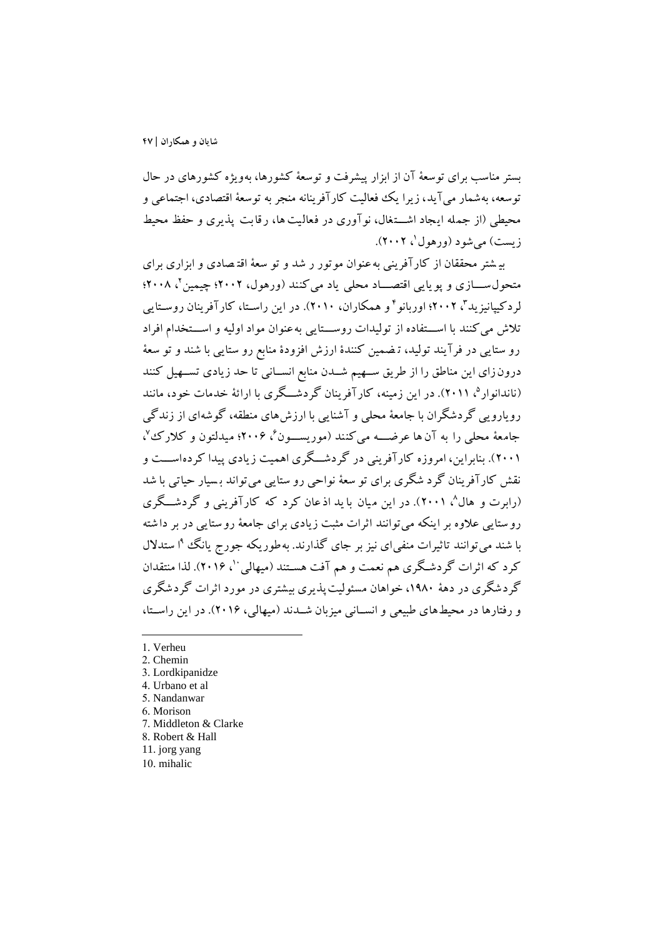بستر مناسب برای توسعة آن از ابزار پيشرفت و توسعة کشورها، بهويژه کشورهای در حال توسعه، بهشمار ميآيد، زيرا يک فعاليت کارآفرينانه منجر به توسعة اقتصادی، اجتماعي و محيطي (از جمله ايجاد اشتغال، نوآوری در فعاليت ها، رقابت پذيری و حفظ محيط زیست) میشود (ورهول'، ۲۰۰۲).

بي شتر محققان از کارآفرين ي بهعنوان موتور ر شد و تو سعة اقت صادی و ابزاری برای متحول ســــازی و پويايی اقتصــــاد محلی ياد میکنند (ورهول، ۲۰۰۲؛ چيمين '، ۲۰۰۸؛ لردکيپانيزيد<sup>س</sup>، ۲۰۰۲؛ اوربانو <sup>۲</sup>و همکاران، ۲۰۱۰). در اين راسـتا، کارآفرينان روسـتايي تلاش مي کنند با استفاده از توليدات روستايي به عنوان مواد اوليه و استخدام افراد رو ستايي در فرآيند توليد، ت ضمين کنندۀ ارزش افزودۀ منابع رو ستايي با شند و تو سعة درون زای اين مناطق را از طريق ســهيم شــدن منابع انســاني تا حد زيادی تســهيل کنند (ناندانوار<sup>ه</sup>، ۲۰۱۱). در اين زمينه، کارآفرينان گردشـــگری با ارائهٔ خدمات خود، مانند رويارويي گردشگران با جامعة محلي و آشنايي با ارزشهای منطقه، گوشهای از زندگي جامعهٔ محلبی را به آن ها عرضــــه میکنند (موریســــون<sup>،م</sup> ۲۰۰۶؛ میدلتون و کلارک<sup>ی ۷</sup>، (٢٠٠١). بنابراين، امروزه کارآفريني در گردشــگری اهميت زيادی پيدا کردهاســت و نقش کارآفرينان گرد شگری برای تو سعة نواحي رو ستايي ميتواند ب سيار حياتي با شد (رابرت و هال^، ۲۰۰۱). در اين ميان با يد اذعان کرد که کارآفرينی و گردشـــگری رو ستايي عالوه بر اينکه ميتوانند اثرات مثبت زيادی برای جامعة رو ستايي در بر دا شته با شند می توانند تاثيرات منفیlی نيز بر جای گذارند. بهطوريکه جورج يانگ <sup>۹</sup>ا ستدلال کرد که اثرات گردشگری هم نعمت و هم آفت هستند (ميهالي ''، ۲۰۱۶). لذا منتقدان گردشگری در دهة ،1980 خواهان مسئوليت پذيری بيشتری در مورد اثرات گردشگری و رفتارها در محيطهای طبيعي و انسـاني ميزبان شــدند (ميهالي، ٢٠١۶). در اين راسـتا،

1. Verheu

- 2. Chemin
- 3. Lordkipanidze
- 4. Urbano et al
- 5. Nandanwar
- 6. Morison
- 7. Middleton & Clarke
- 8. Robert & Hall
- 11. jorg yang
- 10. mihalic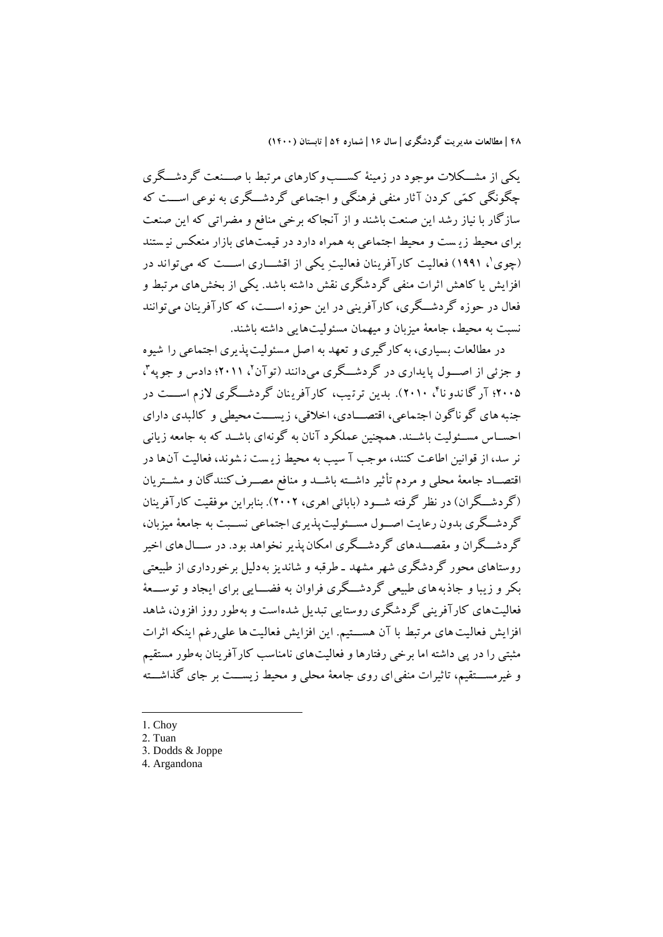يکي از مشـــکلات موجود در زمينهٔ کســـب وکارهای مرتبط با صـــنعت گردشـــگری چگونگي کمّي کردن آثار منفي فرهنگي و اجتماعي گردشــگری به نوعي اســـت که سازگار با نياز رشد اين صنعت باشند و از آنجاکه برخي منافع و مضراتي که اين صنعت برای محيط زي ست و محيط اجتماعي به همراه دارد در قيمتهای بازار منعکس ني ستند (چوی'، ۱۹۹۱) فعالیت کارآفرینان فعالیتِ یکی از اقشــــاری اســـت که میتواند در افزايش يا کاهش اثرات منفي گردشگری نقش داشته باشد. يکي از بخشهای مرتبط و فعال در حوزه گردشــگری، کارآفريني در اين حوزه اســـت، که کارآفرينان ميتوانند نسبت به محيط، جامعة ميزبان و ميهمان مسئوليتهايي داشته باشند.

در مطالعات بسياری، به کارگيری و تعهد به اصل مسئوليت پذيری اجتماعي را شيوه و جزئی از اصـــول پایداری در گردشـــگری میدانند (توآن'، ۲۰۱۱؛ دادس و جوپه''، ۲۰۰۵؛ آر گا ندو نا<sup>۲</sup>، ۲۰۱۰). بدین ترتیب، کارآفرینان گردشـــگری لازم اســـت در جنبه های گو ناگون اجتماعی، اقتصـــادی، اخلاقی، زيســـت محيطي و کالبدی دارای احســاس مســئوليت باشــند. همچنين عملکرد آنان به گونهای باشــد که به جامعه زياني نر سد، از قوانين اطاعت کنند، موجب آ سيب به محيط زيـست نـشوند، فعاليت آنها در اقتصــاد جامعهٔ محلي و مردم تأثير داشــته باشــد و منافع مصــرف کنندگان و مشــتريان (گردشگران) در نظر گرفته شـود (بابائي اهري، ٢٠٠٢). بنابراين موفقيت کارآفرينان گر دشــگری بدون رعايت اصــول مســئوليتپذيری اجتماعی نســبت به جامعهٔ ميزبان، گردشــگران و مقصـــدهای گردشــگری امکان پذير نخواهد بود. در ســـال۵های اخير روستاهای محور گردشگری شهر مشهد ـ طرقبه و شانديز بهدليل برخورداری از طبيعتي بکر و زيبا و جاذبه های طبيعي گردشگری فراوان به فضـــايي برای ايجاد و توســــعهٔ فعاليتهای کارآفريني گردشگری روستايي تبديل شدهاست و بهطور روز افزون، شاهد افزايش فعاليت هاي مرتبط با آن هســتيم. اين افزايش فعاليت ها علي رغم اينکه اثرات مثبتي را در پي داشته اما برخي رفتارها و فعاليتهای نامناسب کارآفرينان بهطور مستقيم و غيرمســـتقيم، تاثيرات منفي|ی روی جامعهٔ محلي و محيط زيســـت بر جای گذاشـــته

1. Choy

<sup>2.</sup> Tuan

<sup>3.</sup> Dodds & Joppe

<sup>4.</sup> Argandona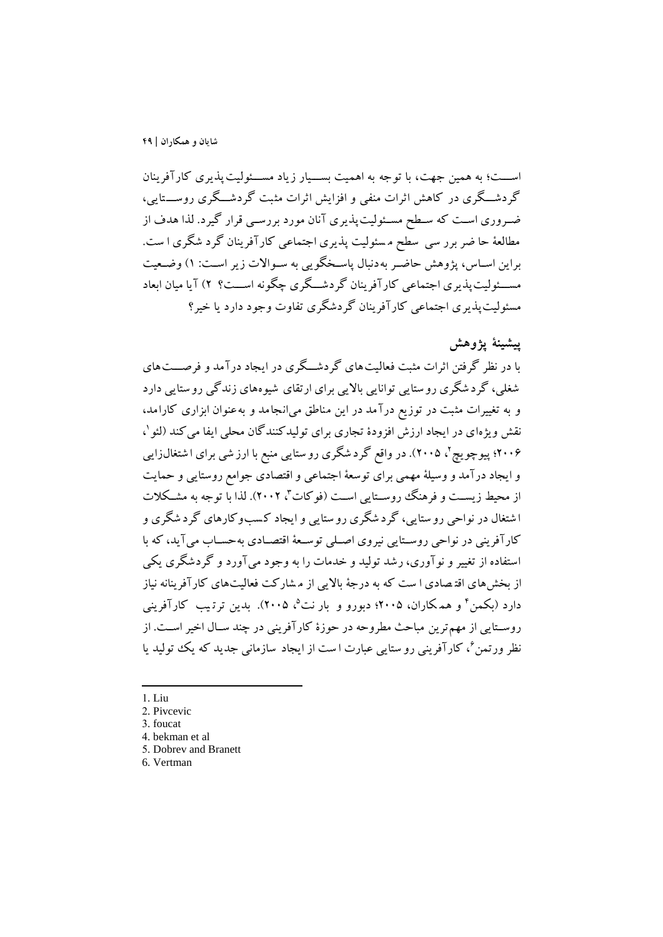اســـت؛ به همين جهت، با توجه به اهميت بســيار زياد مســـئوليت پذيری کارآفرينان گردشــگری در کاهش اثرات منفي و افزايش اثرات مثبت گردشــگری روســـتايي، ضـروری اسـت که سـطح مسـئوليت پذيری آنان مورد بررسـي قرار گيرد. لذا هدف از مطالعة حا ضر برر سي سطح م سئوليت پذيری اجتماعي کارآفرينان گرد شگری ا ست. براين اسـاس، پژوهش حاضـر بهدنبال پاسـخگويي به سـوالات زير اسـت: ١) وضـعيت مســـئوليت پذيری اجتماعي کارآفرينان گردشـــگری چگونه اســـت؟ ٢) آيا ميان ابعاد مسئوليتپذيری اجتماعي کارآفرينان گردشگری تفاوت وجود دارد يا خير

## **پیشینة پژوهش**

با در نظر گرفتن اثرات مثبت فعاليت هاي گردشـــگري در ايجاد درآمد و فرصـــت هاي شغلي، گرد شگری رو ستايي توانايي بالايي برای ارتقای شيوههای زندگي رو ستايي دارد و به تیييرات مثبت در توزيع درآمد در اين مناطق ميانجامد و به عنوان ابزاری کارامد، نقش ویژهای در ایجاد ارزش افزودهٔ تجاری برای تولیدکنندگان محلی ایفا میکند (لئو`، ۲۰۰۶؛ پیوچویچ ٔ، ۲۰۰۵). در واقع گرد شگری رو ستایی منبع با ارز شی برای ا شتغالزایی و ايجاد درآمد و وسيلة مهمي برای توسعة اجتماعي و اقتصادی جوامع روستايي و حمايت از محیط زیســت و فرهنگ روســتایی اســت (فوکات آ، ۲۰۰۲). لذا با توجه به مشــکلات ا شتیال در نواحي رو ستايي، گرد شگری رو ستايي و ايجاد ک سب وکارهای گرد شگری و کارآفريني در نواحي روسـتايي نيروي اصـلي توسـعهٔ اقتصـادی بهحسـاب مي آيد، که با استفاده از تیيير و نوآوری، رشد توليد و خدمات را به وجود ميآورد و گردشگری يکي از بخشهای اقت صادی ا ست که به درجة بااليي از م شارکت فعاليتهای کارآفرينانه نياز دارد (بکمن ٔ و همکاران، ۲۰۰۵؛ دبورو و بار نت°، ۲۰۰۵). بدین ترتیب کارآفرینی روسـتايي از مهمترين مباحث مطروحه در حوزۀ کارآفريني در چند سـال اخير اسـت. از نظر ورتمن <sup>ع</sup>، کارآفريني رو ستايي عبارت ا ست از ايجاد سازمان<sub>ی</sub> جديد که يک توليد يا ً

1. Liu

-

<sup>2.</sup> Pivcevic

<sup>3.</sup> foucat

<sup>4.</sup> bekman et al

<sup>5.</sup> Dobrev and Branett

<sup>6.</sup> Vertman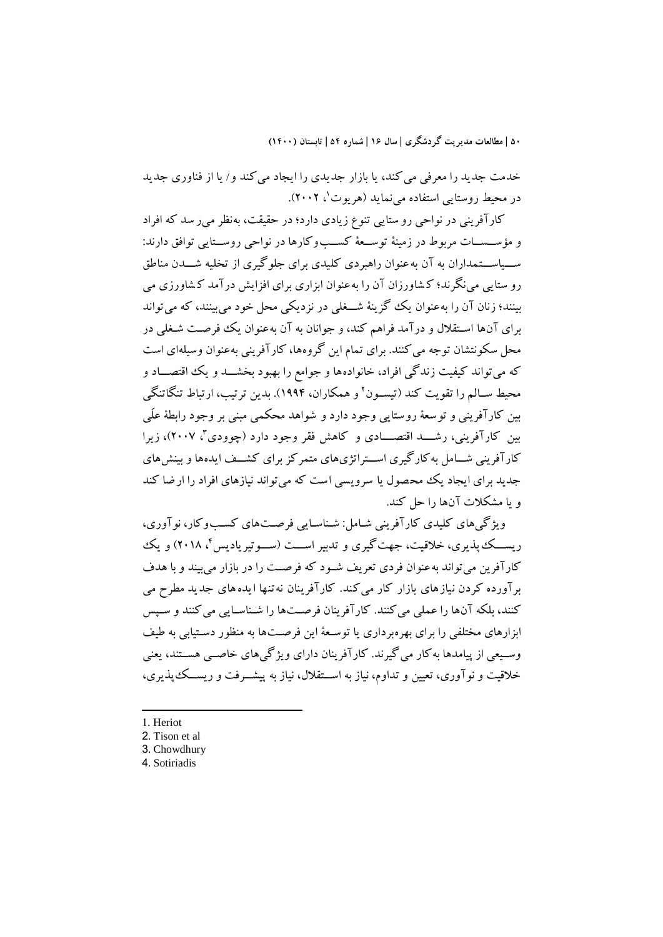خدمت جديد را معرفي مي کند، يا بازار جديدي را ايجاد مي کند و/ يا از فناوري جديد در محیط روستایی استفاده مینماید (هریوت'، ۲۰۰۲).

کارآفريني در نواحي رو ستايي تنوع زيادی دارد؛ در حقيقت، به نظر مير سد که افراد و مؤسسات مربوط در زمينهٔ توسعهٔ کسبوکارها در نواحي روستايي توافق دارند: ســــاســـتمداران به آن به عنوان راهبردی کليدی برای جلوگيری از تخليه شــــدن مناطق رو ستايي مينگرند؛ ک شاورزان آن را به عنوان ابزاری برای افزايش درآمد ک شاورزی مي بينند؛ زنان آن را به عنوان يک گزينهٔ شــغلي در نزديکي محل خود مي بينند، که مي تواند برای آنها اسـتقلال و درآمد فراهم کند، و جوانان به آن بهعنوان يک فرصـت شـغلي در محل سکونتشان توجه ميکنند. برای تمام اين گروهها، کارآفريني بهعنوان وسيلهای است که مي تواند کيفيت زندگي افراد، خانوادهها و جوامع را بهبود بخشـــد و يک اقتصـــاد و محيط ســالـم را تقويت کند (تيســون' و همکاران، ۱۹۹۴). بدين ترتيب، ارتباط تنگاتنگي بين کارآفريني و توسعة روستايي وجود دارد و شواهد محکمي مبني بر وجود رابطة علّي بین کارآفرینی، رشــــد اقتصـــــادی و کاهش فقر وجود دارد (چوودی<sup>۲</sup>، ۲۰۰۷)، زیرا کارآفريني شــامل به کارگيری اســتراتژیهای متمرکز برای کشــف ايدهها و بينش های جديد برای ايجاد يک محصول يا سرويسي است که مي تواند نيازهای افراد را ارضا کند و يا مشکالت آنها را حل کند.

ويژگي های کليدی کارآفريني شـامل: شـناسـايي فرصـتهای کسـبوکار، نوآوری، ريســـک پذيری، خلاقيت، جهت گيری و تدبير اســـت (ســـوتيرياديس <sup>م</sup>، ٢٠١٨) و يک کارآفرين مي تواند به عنوان فردي تعريف شـود که فرصـت را در بازار مي بيند و با هدف برآورده کردن نيازهای بازار کار مي کند. کارآفرينان نه تنها ايدههای جديد مطرح مي کنند، بلکه آنها را عملي مي کنند. کارآفرينان فرصتها را شـناسـايي مي کنند و سـيس ابزارهای مختلفی را برای بهرهبرداری يا توسعهٔ اين فرصتها به منظور دستيابي به طيف وسـيعي از پيامدها به کار مي گيرند. کارآفرينان داراي ويژگي هاي خاصـبي هســتند، يعني خلاقيت و نوآوری، تعيين و تداوم، نياز به اســتقلال، نياز به پيشـــرفت و ريســـک پذيری،

1. Heriot

-

- 2. Tison et al
- 3. Chowdhury
- 4. Sotiriadis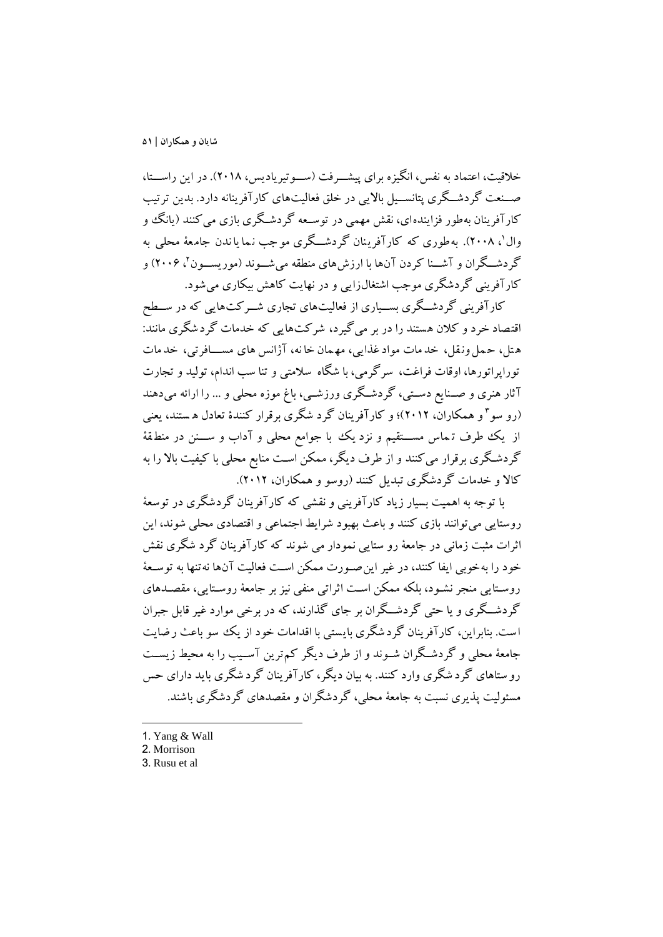خلاقيت، اعتماد به نفس، انگيزه برای پيشـــرفت (ســـوتيرياديس، ٢٠١٨). در اين راســـتا، صسنعت گردشــگری پتانســيل بالايي در خلق فعاليتهای کارآفرينانه دارد. بدين ترتيب کارآفرينان بهطور فزايندهای، نقش مهمي در توسـعه گردشـگری بازی مي کنند (يانگ و وال'، ۲۰۰۸). به طوری که کارآفرینان گردشـــگری مو جب نـما یا ندن جامـعهٔ محلـی به گردشــگران و آشــنا کردن آنها با ارزشهای منطقه میشــوند (موريســون ) ۲۰۰۶) و کارآفريني گردشگری موجب اشتیالزايي و در نهايت کاهش بيکاری ميشود.

کارآفريني گردشــگری بســياری از فعاليتهای تجاری شــرکتهايي که در ســطح اقتصاد خرد و کالن هستند را در بر ميگيرد، شرکت هايي که خدمات گردشگری مانند: ه تل، حمل ونقل، خدمات مواد غذايي، مهمان خانه، آژانس هاي مســافرتي، خدمات توراپراتورها، اوقات فراغت، سرگرمي، با شگاه سالمتي و تنا سب اندام، توليد و تجارت آثار هنری و صــنايع دســتي، گردشــگری ورزشــي، باغ موزه محلي و ... را ارائه ميدهند )رو سو 3 و همکاران، 2012(؛ و کارآفرينان گرد شگری برقرار کنندۀ تعادل ه ستند، يعني از يک طرف تہماس مســـتقيم و نزد يک با جوامع محلي و آداب و ســـنن در منطقهٔ گردشگری برقرار میکنند و از طرف ديگر، ممکن است منابع محلي با کيفيت بالا را به کالا و خدمات گردشگری تبديل کنند (روسو و همکاران، ٢٠١٢).

با توجه به اهميت بسيار زياد کارآفريني و نقشي که کارآفرينان گردشگری در توسعة روستايي ميتوانند بازی کنند و باعث بهبود شرايط اجتماعي و اقتصادی محلي شوند، اين اثرات مثبت زماني در جامعة رو ستايي نمودار مي شو ند که کارآفرينان گرد شگری نقش خود را بهخوبي ايفا کنند، در غير اين صورت ممکن است فعاليت آنها نه تنها به توسـعهٔ روسـتايي منجر نشـود، بلکه ممکن اسـت اثراتي منفي نيز بر جامعهٔ روسـتايي، مقصـدهای گردشــگری و يا حتي گردشــگران بر جای گذارند، که در برخي موارد غير قابل جبران است. بنابراين، کارآفرينان گردشگری بايستي با اقدامات خود از يک سو باعث رضايت جامعهٔ محلي و گردشـگران شــوند و از طرف ديگر کم ترين آســيب را به محيط زيســت رو ستاهای گرد شگری وارد کنند. به بيان ديگر، کارآفرينان گرد شگری بايد دارای حس مسئوليت پذيری نسبت به جامعة محلي، گردشگران و مقصدهای گردشگری باشند.

- 1. Yang & Wall
- 2. Morrison

-

3. Rusu et al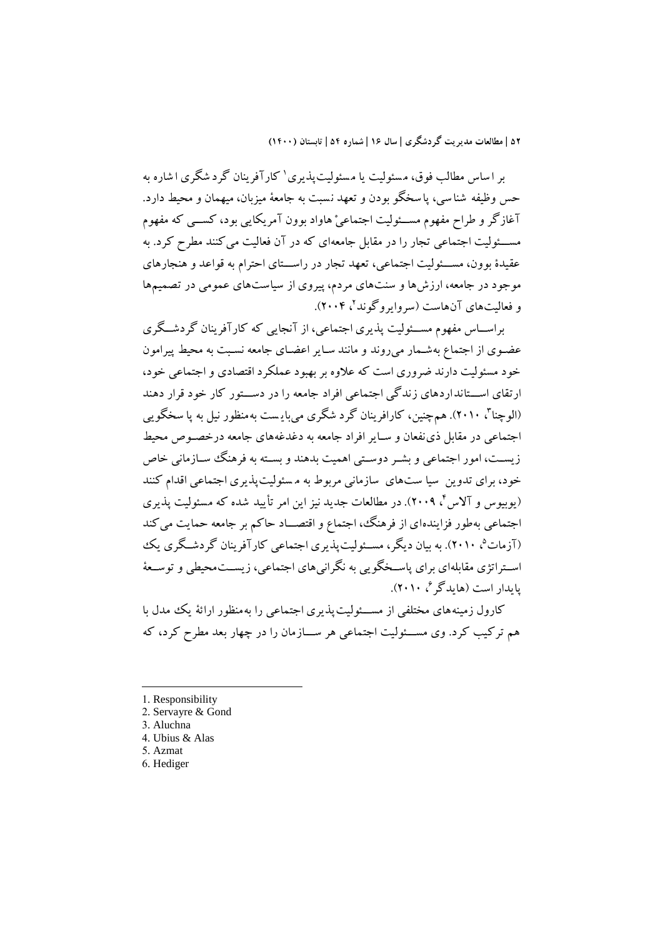بر ا ساس مطالب فوق، مسئوليت يا مسئوليت $\mathfrak{t}$ يری کارآفرينان گرد شگری ا شاره به حس وظيفه شنا سي، پا سخگو بودن و تعهد نسبت به جامعهٔ ميزبان، ميهمان و محيط دارد. آغازگر و طراح مفهوم مســئوليت اجتماعيْ هاواد بوون آمريکايي بود، کســـي که مفهوم مســـئوليت اجتماعي تجار را در مقابل جامعهای که در آن فعاليت مي کنند مطرح کرد. به عقيدۀ بوون، مســئوليت اجتماعي، تعهد تجار در راســـتای احترام به قواعد و هنجارهای موجود در جامعه، ارزشها و سنتهای مردم، پيروی از سياستهای عمومي در تصميمها و فعالیتهای آنهاست (سروایروگوند<sup>۲</sup>، ۲۰۰۴).

براســاس مفهوم مســئوليت پذيری اجتماعي، از آنجايي که کارآفرينان گردشــگری عضوی از اجتماع بهشـمار ميروند و مانند سـاير اعضـای جامعه نسـبت به محيط پيرامون خود مسئوليت دارند ضروری است که عالوه بر بهبود عملکرد اقتصادی و اجتماعي خود، ارتقای اســتانداردهای زندگي اجتماعي افراد جامعه را در دســتور کار خود قرار دهند (الوچنا<sup>م</sup>، ۲۰۱۰). همچنین، کارافرینان گرد شگری میبایست بهمنظور نیل به پا سخگویی اجتماعی در مقابل ذی نفعان و سـاير افراد جامعه به دغدغههای جامعه درخصـوص محيط زيســت، امور اجتماعي و بشــر دوســتي اهميت بدهند و بســته به فرهنگ ســازماني خاص خود، برای تدوين سيا ستهای سازماني مربوط به مسئوليتپذيری اجتماعي اقدام کنند (يوبيوس و آلاس<sup>۲</sup>، ۱۰۰۹). در مطالعات جديد نيز اين امر تأييد شده که مسئوليت پذيری اجتماعي به طور فزايندهاي از فرهنگ، اجتماع و اقتصــاد حاکم بر جامعه حمايت مي کند (آزمات<sup>0</sup>، ۲۰۱۰). به بيان ديگر، مســئوليتپذيری اجتماعی کارآفرينان گردشــگری يک اســتراتژی مقابلهای برای پاســخگويي به نگرانيهای اجتماعي، زيســتمحيطي و توســعهٔ پايدار است (هايدگر<sup>م</sup>، ۲۰۱۰).<br>.

کارول زمينه های مختلفي از مســئوليت پذيری اجتماعي را به منظور ارائهٔ يک مدل با هم ترکيب کرد. وی مســـئوليت اجتماعي هر ســـازمان را در چهار بعد مطرح کرد، که

- 1. Responsibility
- 2. Servayre & Gond
- 3. Aluchna

- 4. Ubius & Alas
- 5. Azmat
- 6. Hediger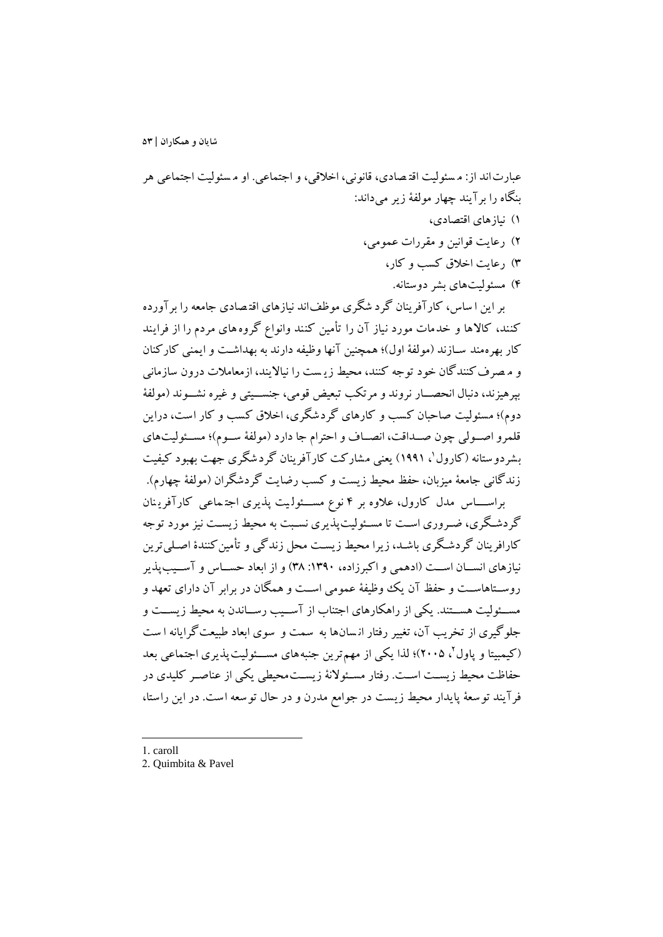عبارتاند از: م سئوليت اقت صادی، قانوني، اخالقي، و اجتماعي. او م سئوليت اجتماعي هر بنگاه را برآيند چهار مولفة زير ميداند: 1( نيازهای اقتصادی، 2( رعايت قوانين و مقررات عمومي، 3( رعايت اخالق کسب و کار، ۴( مسئوليتهای بشر دوستانه.

بر اين ا ساس، کارآفرينان گرد شگری موظف اند نيازهای اقت صادی جامعه را برآورده کنند، کالاها و خدمات مورد نياز آن را تأمين کنند وانواع گروههای مردم را از فرايند کار بهرهمند سـازند (مولفهٔ اول)؛ همچنين آنها وظيفه دارند به بهداشـت و ايمني کارکنان و م صرف کنندگان خود توجه کنند، محيط زيست را نيالايند، ازمعاملات درون سازماني بپرهيزند، دنبال انحصـــار نروند و مرتکب تبعيض قومي، جنســـيتي و غيره نشـــوند (مولفهٔ دوم)؛ مسئوليت صاحبان کسب و کارهای گردشگری، اخلاق کسب و کار است، دراين قلمرو اصـولي چون صـداقت، انصـاف و احترام جا دارد (مولفهٔ سـوم)؛ مسـئوليتهای <sub>ن</sub>شردو ستانه (کارول<sup>'</sup>، ۱۹۹۱) یعنی مشارکت کارآفرینان گردشگری جهت بهبود کیفیت زندگاني جامعهٔ ميزبان، حفظ محيط زيست و کسب رضايت گردشگران (مولفهٔ چهارم).

براســـاس مدل کارول، علاوه بر ۴ نوع مســـئولـيت پذيری اجتـماعـی کارآفريـنان گردشگری، ضـروری اسـت تا مسـئوليتپذيری نسـبت به محيط زيسـت نيز مورد توجه کارافرينان گردشگری باشـد، زيرا محيط زيسـت محل زندگي و تأمين کنندۀ اصـلي ترين نيازهای انســان اســت (ادهمي و اکبرزاده، ١٣٩٠: ٣٨) و از ابعاد حســاس و آســيبپذير روســتاهاســت و حفظ آن يک ووظيفهٔ عمومي اســت و همگان در برابر آن داراي تعهد و مســئوليت هســتند. يکي از راهکارهای اجتناب از آســيب رســاندن به محيط زيســت و جلوگيری از تخريب آن، تیيير رفتار ان سان ها به سمت و سوی ابعاد طبيعتگرايانه ا ست (کیمبیتا و پاول'، ۲۰۰۵)؛ لذا یکی از مهم ترین جنبههای مســـئولیت پذیری اجتماعی بعد حفاظت محيط زيست است. رفتار مسـئولانهٔ زيسـتمحيطي يکي از عناصـر کليدی در فرآيند توسعة پايدار محيط زيست در جوامع مدرن و در حال توسعه است. در اين راستا،

1. caroll

-

<sup>2.</sup> Quimbita & Pavel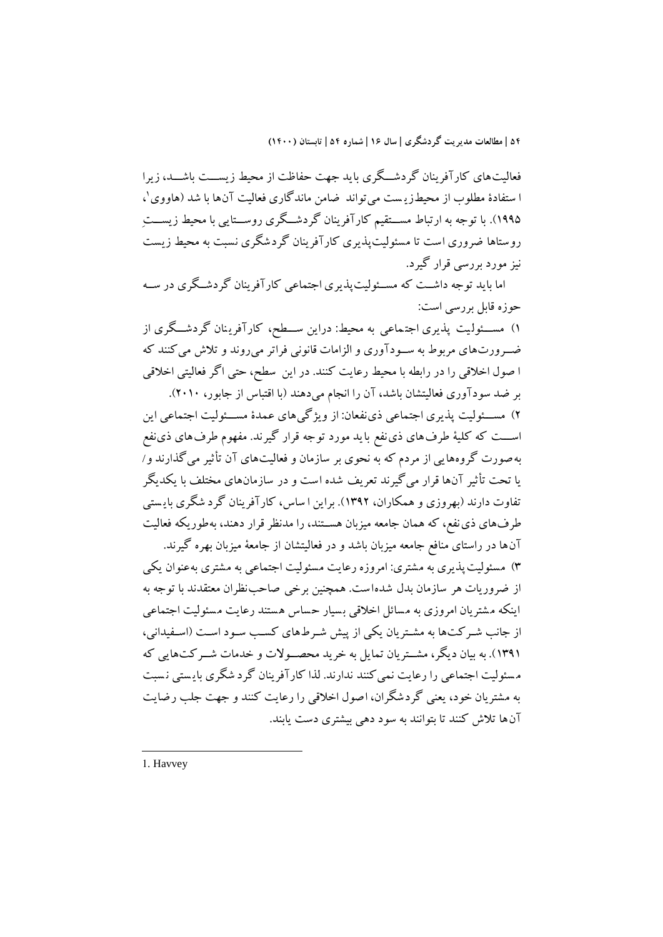فعاليت های کار آفرينان گر دشــگری بايد جهت حفاظت از محيط زيســـت باشـــد، زيرا ا ستفادهٔ مطلوب از محیطزی<sub>س</sub>ت میتواند ضامن ماندگاری فعالیت آنها با شد (هاووی'، ۱۹۹۵). با توجه به ارتباط مســـتقيم کارآفرينان گردشـــگری روســـتايي با محيط زيســـتِ روستاها ضروری است تا مسئوليتپذيری کارآفرينان گردشگری نسبت به محيط زيست نيز مورد بررسي قرار گيرد.

اما بايد توجه داشــت که مســئوليت<code>پذيری</code> اجتماعي کارآفرينان گردشــگری در ســه حوزه قابل بررسي است:

1) مســئوليت پذيری اجتماعی به محيط: دراين ســطح، کارآفرينان گردشـــگری از ضوورورتهای مربوط به سووودآوری و الزامات قانوني فراتر ميروند و تالش ميکنند که ا صول اخالقي را در رابطه با محيط رعايت کنند. در اين سطح، حتي اگر فعاليتي اخالقي بر ضد سودآوری فعاليتشان باشد، آن را انجام ميدهند )با اقتباس از جابور، 2010(.

٢) مســئوليت پذيری اجتماعي ذی نفعان: از ويژگي&اي عمدۀ مســئوليت اجتماعي اين اســـت که کليهٔ طرفهای ذی نفع بايد مورد توجه قرار گيرند. مفهوم طرفهای ذی نفع بهصورت گروههايي از مردم که به نحوی بر سازمان و فعاليتهای آن تأثير ميگذارند و/ يا تحت تأثير آنها قرار ميگيرند تعريف شده است و در سازمان های مختلف با يکديگر تفاوت دارند )بهروزی و همکاران، 1392(. براين ا ساس، کارآفرينان گرد شگری باي ستي طرفهای ذی نفع، که همان جامعه ميزبان هســتند، را مدنظر قرار دهند، بهطوريکه فعاليت آنها در راستای منافع جامعه ميزبان باشد و در فعاليتشان از جامعة ميزبان بهره گيرند.

3( مسئوليت پذيری به مشتری: امروزه رعايت مسئوليت اجتماعي به مشتری به عنوان يکي از ضروريات هر سازمان بدل شده است. همچنين برخي صاحب نظران معتقدند با توجه به اينکه مشتريان امروزی به مسائل اخلاقی بسيار حساس هستند رعايت مسئوليت اجتماعي از جانب شـرکتها به مشـتريان يکي از پيش شـرطهای کسـب سـود اسـت (اسـفيداني، (١٣٩١). به بيان ديگر، مشــتريان تمايل به خريد محصــولات و خدمات شــرکتهايي که مسئوليت اجتماعي را رعايت نمي کنند ندارند. لذا کارآفرينان گرد شگری بايستي نسبت به مشتريان خود، يعني گردشگران، اصول اخالقي را رعايت کنند و جهت جلب رض ايت آنها تالش کنند تا بتوانند به سود دهي بيشتری دست يابند.

1. Havvey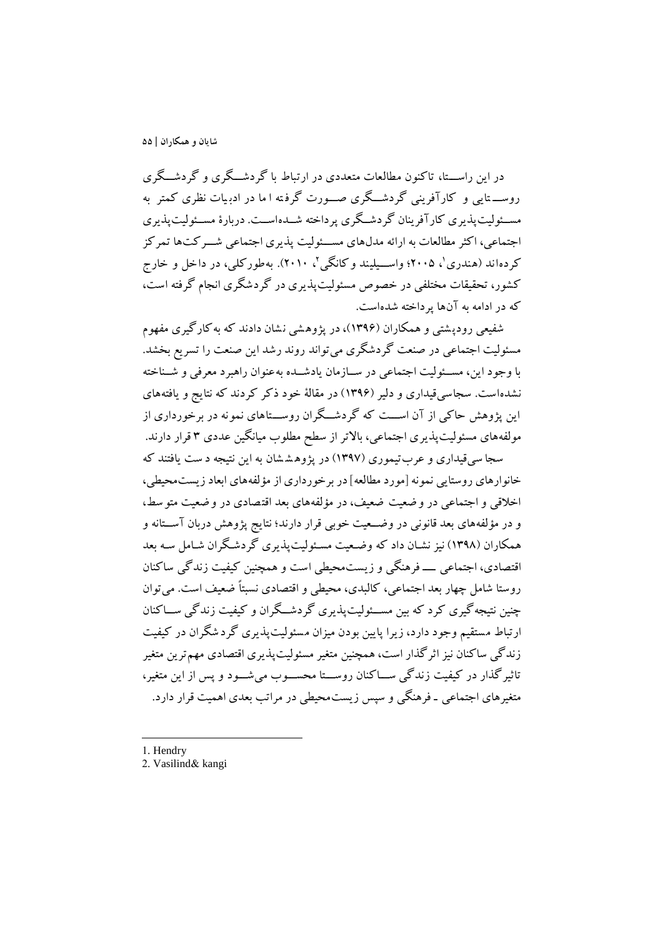در اين راســـتا، تاکنون مطالعات متعددی در ارتباط با گردشـــگری و گردشـــگری روســـتايي و کارآفريني گردشـــگری صـــورت گرفته ا ما در ادبيات نظری کمتر به مســئوليتپذيری کارآفرينان گردشــگری پرداخته شــدهاســت. دربارۀ مســئوليتپذيری اجتماعي، اکثر مطالعات به ارائه مدلهای مســئوليت پذيری اجتماعي شــرکتها تمرکز کردهاند (هندری'، ۲۰۰۵؛ واســیلیند و کانگی'، ۲۰۱۰). بهطورکلی، در داخل و خارج کشور، تحقيقات مختلفي در خصوص مسئوليتپذيری در گردشگری انجام گرفته است، که در ادامه به آنها پرداخته شدهاست.

شفيعي رودپشتي و همکاران (۱۳۹۶)، در پژوهشي نشان دادند که به کارگيری مفهوم مسئوليت اجتماعي در صنعت گردشگری ميتواند روند رشد اين صنعت را تسريع بخشد. با وجود اين، مسئوليت اجتماعي در سيازمان يادشيده به عنوان راهبرد معرفي و شيناخته نشدهاست. سجاسي قيداری و دلير (۱۳۹۶) در مقالهٔ خود ذکر کردند که نتايج و يافتههای اين پژوهش حاکی از آن اســـت که گردشـــگران روســـتاهای نمونه در برخورداری از مولفههای مسئوليتپذيری اجتماعي، باالتر از سطح مطلوب ميانگين عددی 3 قرار دارند. سجا س يقيداری و عربتيموری )139۷( در پژوه ش شان به اين نتيجه د ست يافتند که

خانوارهای روستايي نمونه ]مورد مطالعه[ در برخورداری از مؤلفههای ابعاد زيستمحيطي، اخالقي و اجتماعي در و ضعيت ضعيف، در مؤلفه های بعد اقت صادی در و ضعيت متو سط ، و در مؤلفههای بعد قانونی در وضعیت خوبی قرار دارند؛ نتایج پژوهش دربان آســتانه و همکاران (۱۳۹۸) نيز نشـان داد که وضـعيت مسـئوليتپذيری گردشـگران شـامل سـه بعد اقتصادی، اجتماعي ـــــ فرهنگي و زيست،محيطي است و همچنين کيفيت زندگي ساکنان روستا شامل چهار بعد اجتماعي، کالبدی، محيطي و اقتصادی نسبتا ضعيف است. ميتوان چنين نتيجهگيری کرد که بين مســـئوليتپذيری گردشـــگران و کيفيت زندگي ســـاکنان ارتباط مستقيم وجود دارد، زيرا پايين بودن ميزان مسئوليت پذيری گرد شگران در کيفيت زندگي ساکنان نيز اثر گذار است، همچنين متغير مسئوليتپذيری اقتصادی مهمترين متغير تاثير گذار در کيفيت زندگي ســـاکنان روســــتا محســـوب مي شـــود و پس از اين متغير، متغیرهای اجتماعی ـ فرهنگي و سپس زيستمحيطي در مراتب بعدی اهميت قرار دارد.

1. Hendry

-

2. Vasilind& kangi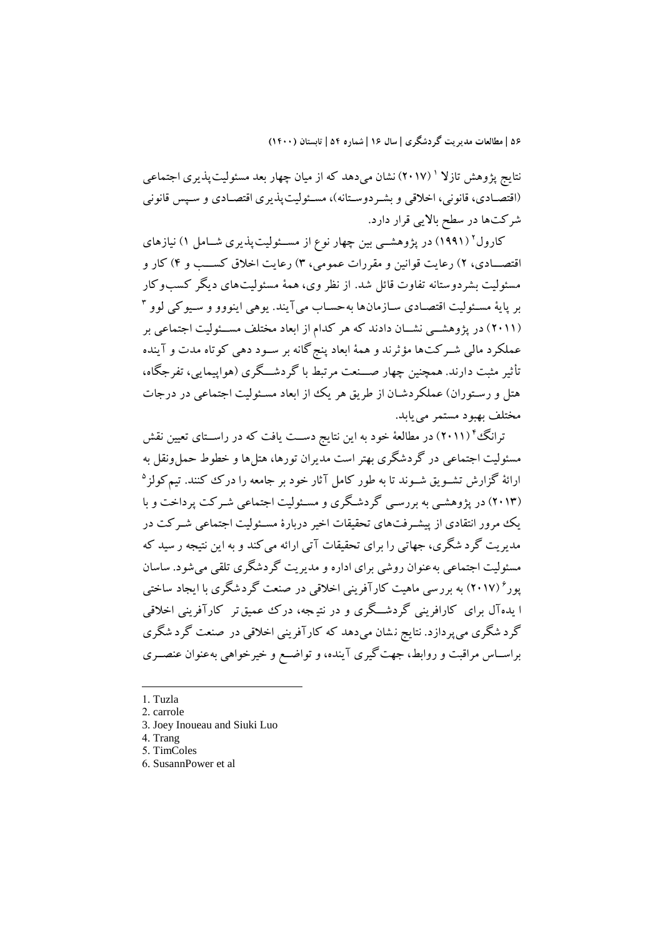نتايج پژوهش تازلا ' (۲۰۱۷) نشان مىدهد كه از ميان چهار بعد مسئوليتپذيرى اجتماعى (اقتصـادی، قانوني، اخلاقي و بشـردوسـتانه)، مسـئوليتپذيری اقتصـادی و سـپس قانوني شرکتها در سطح بااليي قرار دارد.

کارول' (۱۹۹۱) در پژوهشــی بين چهار نوع از مســئوليتپذيری شــامل ۱) نيازهای اقتصـــادی، ۲) رعايت قوانين و مقررات عمومي، ۳) رعايت اخلاق کســـب و ۴) کار و مسئوليت بشردوستانه تفاوت قائل شد. از نظر وی، همهٔ مسئوليتهای ديگر کسبوکار بر پايهٔ مســئوليت اقتصــادی ســازمانها بهحســاب ميآيند. يوهي اينووو و ســيوکي لوو <sup>۲</sup> (۲۰۱۱) در پژوهشــي نشــان دادند که هر کدام از ابعاد مختلف مســئوليت اجتماعي بر عملکرد مالي شـرکتها مؤثرند و همهٔ ابعاد پنج گانه بر سـود دهي کوتاه مدت و آينده تأثير مثبت دارند. همچنين چهار صهنعت مرتبط با گردشـــگری (هواپيمايي، تفرجگاه، هتل و رستوران) عملکردشـان از طريق هر يک از ابعاد مسـئوليت اجتماعي در درجات مختلف بهبود مستمر مييابد.

ترانگُ " (۲۰۱۱) در مطالعهٔ خود به اين نتايج دســت يافت که در راســتای تعيين نقش مسئوليت اجتماعي در گردشگري بهتر است مديران تورها، هتلها و خطوط حمل ونقل به ارائهٔ گزارش تشــویق شــوند تا به طور کامل آثار خود بر جامعه را درک کنند. تیمکولز<sup>۵</sup> )2013( در پژوهشوي به بررسوي گردشوگری و مسوئوليت اجتماعي شورکت پرداخت و با يک مرور انتقادی از پيشـرفتهای تحقيقات اخير دربارۀ مسـئوليت اجتماعي شـرکت در مديريت گرد شگری، جهاتي را برای تحقيقات آتي ارائه ميکند و به اين نتيجه ر سيد که مسئوليت اجتماعي به عنوان روشي برای اداره و مديريت گردشگری تلقي مي شود. ساسان پور ۶ )201۷( به بررسي ماهيت کارآفريني اخالقي در صنعت گردشگری با ايجاد ساختي ا يده آل برای کارافريني گردشــگری و در نتيـجه، درک عميق تر کارآفريني اخلاقي گرد شگری می پردازد. نتايج نـشان می،دهد که کارآفريني اخلاقي در صنعت گرد شگری براسـاس مراقبت و روابط، جهت گيری آينده، و تواضـع و خيرخواهي بهعنوان عنصـری

1. Tuzla

- 2. carrole
- 3. Joey Inoueau and Siuki Luo
- 4. Trang
- 5. TimColes
- 6. SusannPower et al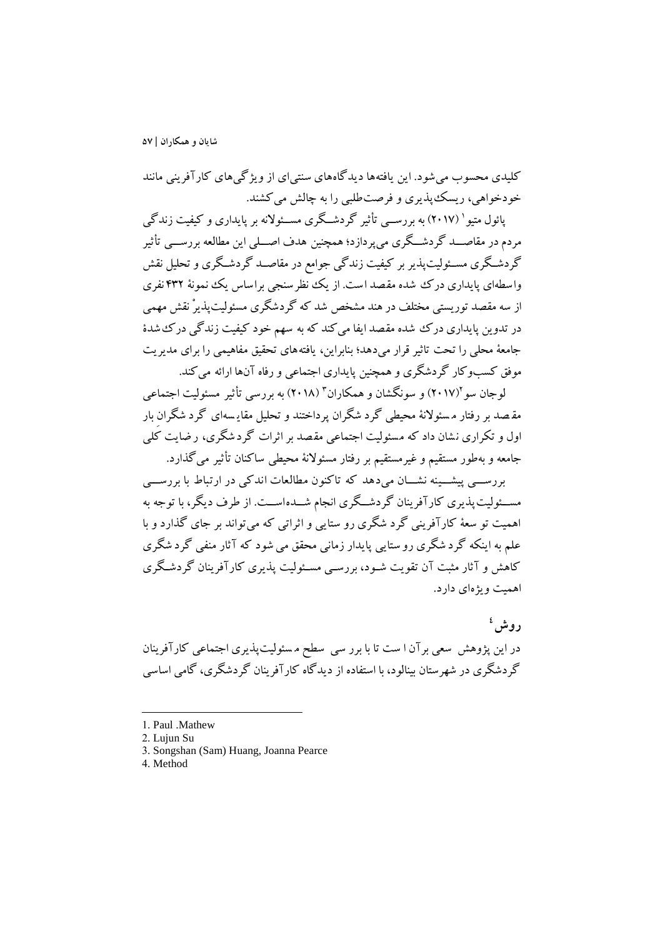کليدی محسوب ميشود. اين يافتهها ديدگاههای سنتيای از ويژگيهای کارآفريني مانند خودخواهي، ريسکپذيری و فرصتطلبي را به چالش ميکشند.

یائول متيو ( ۲۰۱۷) به بررســـي تأثير گردشــگری مســئولانه بر پايداری و کيفيت زندگي مردم در مقاصـــد گردشـــگری مي $\mathfrak{g}_c$ رازد؛ همچنين هدف اصـــلي اين مطالعه بررســــي تأثير گردشگری مسـئوليت<code>يذير</code> بر کيفيت زندگي جوامع در مقاصــد گردشـگری و تحليل نقش واسطهای پايداری درک شده مقصد است. از يک نظر سنجي براساس يک نمونهٔ ۴۳۲ نفری از سه مقصد توريستي مختلف در هند مشخص شد که گردشگري مسئوليت پذيرْ نقش مهمي در تدوين پايداری درک شده مقصد ايفا مي کند که به سهم خود کيفيت زندگي درک شدۀ جامعهٔ محلي را تحت تاثير قرار مي دهد؛ بنابراين، يافته های تحقيق مفاهيمي را برای مديريت موفق کسبوکار گردشگری وهمچنين پايداری اجتماعي و رفاه آنها ارائه ميکند.

لوجان سو (۲۰۱۷) و سونگشان و همکاران<sup>۳</sup> (۲۰۱۸) به بررسی تأثیر مسئولیت اجتماعی مق صد بر رفتار م سئوالنة محيطي گرد شگران پرداختند و تحليل مقاي سه ای گرد شگران بار اول و تکراری نشان داد که مسئولیت اجتماعی مقصد بر اثرات گردشگری، ر ضایت کُلی جامعه و بهطور مستقيم و غيرمستقيم بر رفتار مسئوالنة محيطي ساکنان تأثير ميگذارد.

بررســي پيشـــينه نشـــان ميدهد که تاکنون مطالعات اندکي در ارتباط با بررســـي مســئوليتپذيری کارآفرينان گردشــگری انجام شــدهاســت. از طرف ديگر، با توجه به اهميت تو سعة کارآفريني گرد شگری رو ستايي و اثراتي که ميتواند بر جای گذارد و با علم به اينکه گرد شگری رو ستايي پايدار زماني محقق ميشود که آثار منفي گرد شگری کاهش و آثار مثبت آن تقويت شـود، بررسـي مسـئوليت پذيری کارآفرينان گردشـگری اهميت ويژهای دارد.

**4 روش** در اين پژوهش سعي برآن ا ست تا با برر سي سطح م سئوليت پذيری اجتماعي کارآفرينان گردشگری در شهرستان بينالود، با استفاده از ديدگاه کارآفرينان گردشگری، گامي اساسي

<sup>1.</sup> Paul .Mathew

<sup>2.</sup> Lujun Su

<sup>3.</sup> Songshan (Sam) Huang, Joanna Pearce

<sup>4.</sup> Method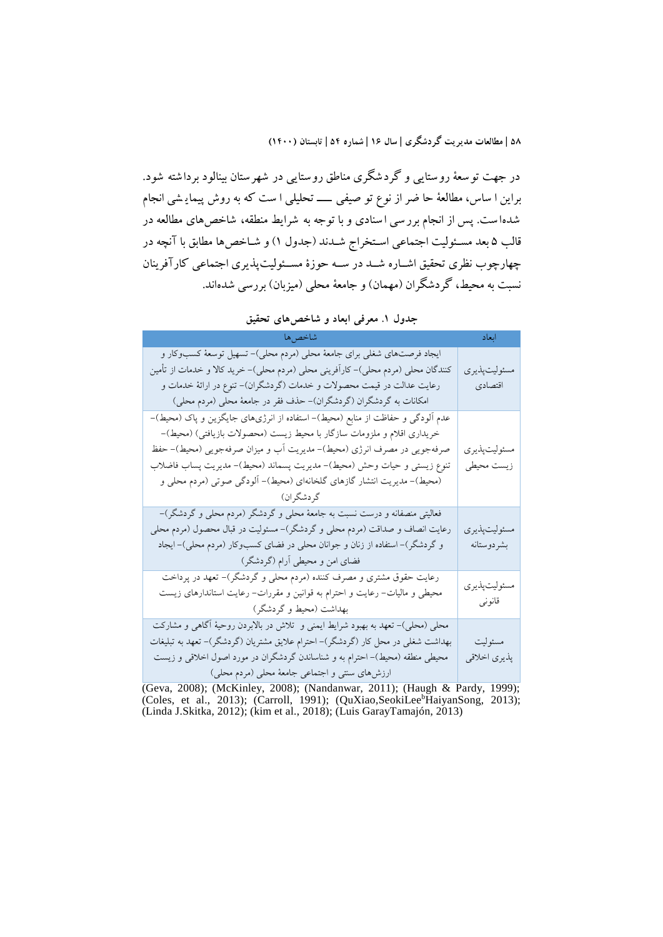در جهت توسعة روستايي و گردشگری مناطق روستايي در شهرستان بينالود برداشته شود. براين ا ساس، مطالعهٔ حا ضر از نوع تو صيفي ــــــ تحليلي ا ست که به روش پيمايـشي انجام شده ا ست. پس از انجام برر سي ا سنادی و با توجه به شرايط منطقه، شاخص های مطالعه در قالب ۵ بعد مسـئوليت اجتماعي اسـتخراج شــدند (جدول ۱) و شــاخصها مطابق با آنچه در چهارچوب نظری تحقيق اشــاره شــد در ســه حوزۀ مســئوليتپذيری اجتماعي کارآفرينان نسبت به محیط، گردشگران (مهمان) و جامعهٔ محلی (میزبان) بررسی شدهاند.

| شاخصها                                                                                                                                                                                                                                                                                                                                                                                            | ابعاد                       |
|---------------------------------------------------------------------------------------------------------------------------------------------------------------------------------------------------------------------------------------------------------------------------------------------------------------------------------------------------------------------------------------------------|-----------------------------|
| ایجاد فرصتهای شغلی برای جامعهٔ محلی (مردم محلی)– تسهیل توسعهٔ کسبوکار و<br>کنندگان محلی (مردم محلی)– کارآفرینی محلی (مردم محلی)– خرید کالا و خدمات از تأمین<br>رعایت عدالت در قیمت محصولات و خدمات (گردشگران)– تنوع در ارائهٔ خدمات و<br>امکانات به گردشگران (گردشگران)- حذف فقر در جامعهٔ محلی (مردم محلی)                                                                                       | مسئوليتپذيري<br>اقتصادى     |
| عدم ألودگی و حفاظت از منابع (محیط)– استفاده از انرژیهای جایگزین و پاک (محیط)–<br>خریداری اقلام و ملزومات سازگار با محیط زیست (محصولات بازیافتی) (محیط)–<br>صرفهجویی در مصرف انرژی (محیط)– مدیریت أب و میزان صرفهجویی (محیط)– حفظ<br>تنوع زيستي و حيات وحش (محيط)– مديريت پسماند (محيط)– مديريت پساب فاضلاب<br>(محیط)– مدیریت انتشار گازهای گلخانهای (محیط)– ألودگی صوتی (مردم محلی و<br>گردشگران) | مسئوليت پذيري<br>زيست محيطي |
| فعالیتی منصفانه و درست نسبت به جامعهٔ محلی و گردشگر (مردم محلی و گردشگر)–<br>رعایت انصاف و صداقت (مردم محلی و گردشگر)– مسئولیت در قبال محصول (مردم محلی<br>و گردشگر)– استفاده از زنان و جوانان محلی در فضای کسبوکار (مردم محلی)– ایجاد<br>فضای امن و محیطی أرام (گردشگر)                                                                                                                          | مسئوليتپذيري<br>بشردوستانه  |
| رعایت حقوق مشتری و مصرف کننده (مردم محلی و گردشگر)– تعهد در پرداخت<br>محیطی و مالیات– رعایت و احترام به قوانین و مقررات– رعایت استاندارهای زیست<br>بهداشت (محیط و گردشگر)                                                                                                                                                                                                                         | مسئوليت پذيري<br>قانونى     |
| محلی (محلی)– تعهد به بهبود شرایط ایمنی و  تلاش در بالابردن روحیهٔ آگاهی و مشارکت<br>بهداشت شغلی در محل کار (گردشگر)– احترام علایق مشتریان (گردشگر)– تعهد به تبلیغات<br>محیطی منطقه (محیط)– احترام به و شناساندن گردشگران در مورد اصول اخلاقی و زیست<br>ارزشهای سنتی و اجتماعی جامعهٔ محلی (مردم محلی)                                                                                             | مسئوليت<br>پذيري اخلاقي     |

**جدول .1 معرفي ابعاد و شاخصهاي تحقیق**

(Geva, 2008); (McKinley, 2008); (Nandanwar, 2011); (Haugh & Pardy, 1999); (Coles, et al., 2013); (Carroll, 1991); (QuXiao,SeokiLee<sup>b</sup>HaiyanSong, 2013); (Linda J.Skitka, 2012); (kim et al., 2018); (Luis GarayTamajón, 2013)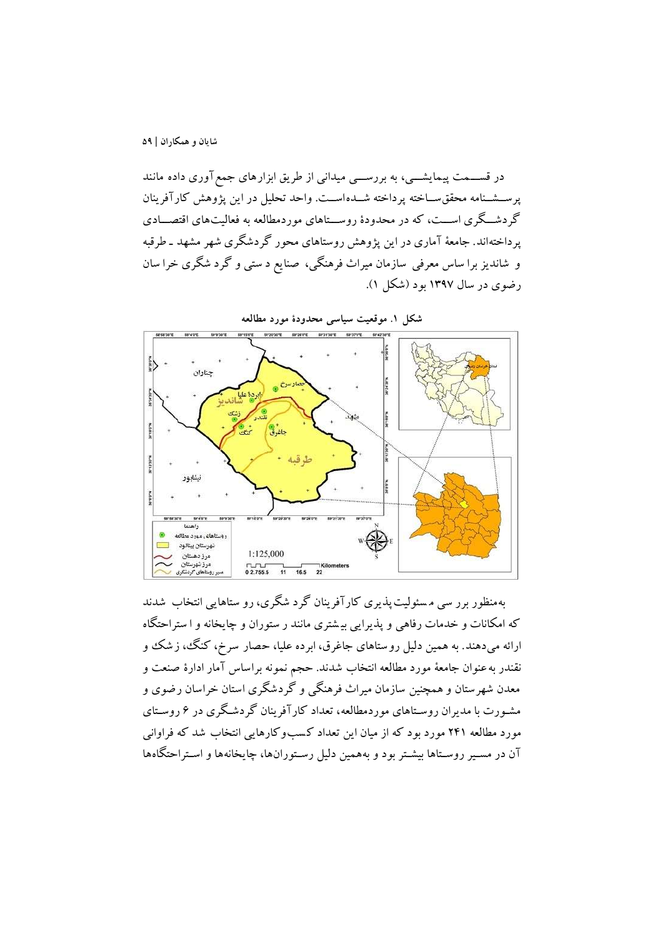در قســـمت پيمايشــــي، به بررســــي ميداني از طريق ابزارهای جمع آوری داده مانند پرسشنامه محقق سـاخته پرداخته شــدهاســت. واحد تحليل در اين پژوهش کارآفرينان گردشگری اســت، که در محدودۀ روســتاهای موردمطالعه به فعالیتهای اقتصــادی پرداختهاند. جامعهٔ آماری در این پژوهش روستاهای محور گردشگری شهر مشهد ـ طرقبه و شانديز برا ساس معرفي سازمان ميراث فرهنگي، صنا يع د ستي و گرد شگری خرا سان رضوی در سال 139۷ بود )شکل 1(.



بهمنظور برر سي م سئوليت پذيری کارآفرينان گرد شگری، رو ستاهايي انتخاب شدند که امکانات و خدمات رفاهي و پذيرايي بي شتری مانند ر ستوران و چايخانه و ا ستراحتگاه ارائه ميدهند. به همين دليل روستاهای جاغرق، ابرده عليا، حصار سرخ، کنگ، زشک و نقندر بهعنوان جامعة مورد مطالعه انتخاب شدند. حجم نمونه براساس آمار ادارۀ صنعت و معدن شهرستان و همچنين سازمان ميراث فرهنگي و گردشگری استان خراسان رضوی و مشـورت با مديران روسـتاهای موردمطالعه، تعداد کارآفرينان گردشـگری در ۶ روسـتای مورد مطالعه 2۴1 مورد بود که از ميان اين تعداد ک سب وکارهايي انتخاب شد که فراواني آن در مسير روسـتاها بيشـتر بود و بههمين دليل رسـتورانها، چايخانهها و اسـتراحتگاهها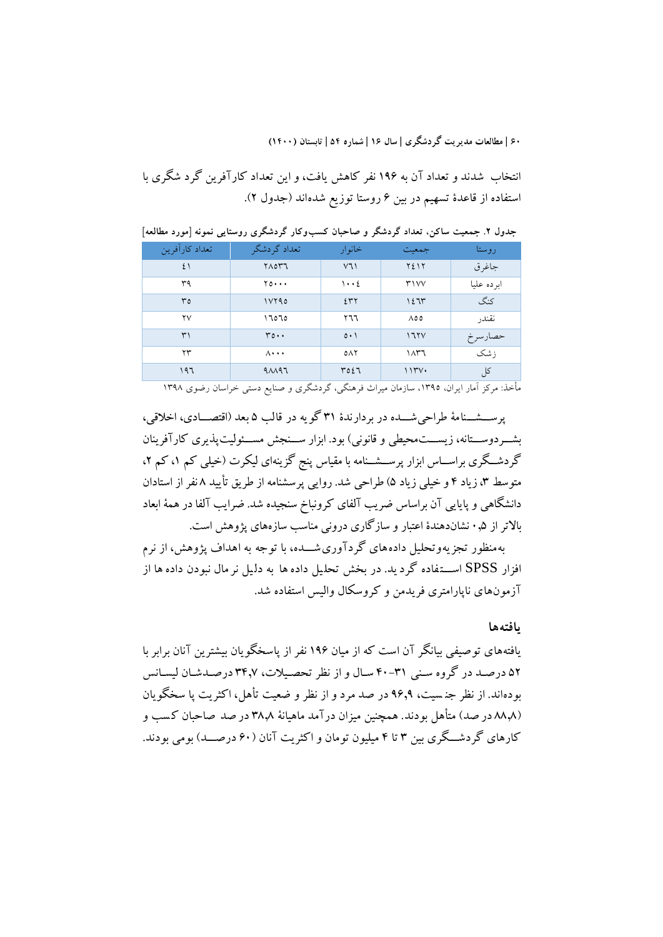انتخاب شدند و تعداد آن به 19۶ نفر کاهش يافت، و اين تعداد کارآفرين گرد شگری با استفاده از قاعدۀ تسهيم در بين ۶ روستا توزيع شدهاند )جدول 2(.

| تعداد كارأفرين | تعداد گردشگر                | خانوار         | جمعيت        | روستا            |
|----------------|-----------------------------|----------------|--------------|------------------|
| ٤١             | $Y\wedge OY'$               | V1             | ۲٤١٢         | جاغرق            |
| ۳۹             | $Y_0 \cdots$                | $\cdots$       | Y'           | ابرده عليا       |
| ٣٥             | 11790                       | 257            | ۱٤٦٣         | كنگ              |
| ۲V             | ۱٦٥٦٥                       | ۲٦٦            | $\Lambda$ ٥٥ | نقندر            |
| ٣١             | $r \circ \cdot \cdot$       | $0 \cdot 1$    | 175V         | حصارسرخ          |
| ۲۳             | $\Lambda \cdot \cdot \cdot$ | 0 <sup>N</sup> | ۱۸۳٦         | زشک              |
| ۱۹٦            | $4\lambda$ 197              | ٣٥٤٦           | 1154.        | کل<br>$\epsilon$ |

**جدول .2 جمعیت ساکن، تعداد گردشگر و صاحبان کسبوکار گردشگري روستايي نمونه ]مورد مطالعه[**

مأخذ: مرکز آمار ایران، ،1395 سازمان میراث فرهنگی، گردشگری و صنایع دستی خراسان رضوی 1398

پرسشسنامۀ طراحي شـــده در بردارندۀ ٣١ گو يه در قالب ۵ بعد (اقتصـــادی، اخلاقي، بشـــردوســـتانه، زيســـت.محيطي و قانوني) بود. ابزار ســـنجش مســـئوليت پذيری کارآفرينان گردشگری براســاس ابزار پرســشــنامه با مقياس پنج گزينهای ليکرت (خيلي کم ١، کم ٢، متوسط ۳، زياد ۴ و خيلي زياد ۵) طراحي شد. روايي پرسشنامه از طريق تأييد ۸ نفر از استادان دانشگاهي و پايايي آن براساس ضريب آلفاي کرونباخ سنجيده شد. ضرايب آلفا در همهٔ ابعاد باالتر از 0.۵ نشاندهندۀ اعتبار و سازگاری دروني مناسب سازههای پژوهش است.

به منظور تجزيه وتحليل داده های گردآوری شـــده، با توجه به اهداف پژوهش، از نرم افزار SPSS اســــتفاده گرد يد. در بخش تحليل داده ها به دليل نر مال نبودن داده ها از آزمونهای ناپارامتری فريدمن و کروسکال واليس استفاده شد.

### **يافتهها**

يافتههای توصيفي بيانگر آن است که از ميان 19۶ نفر از پاسخگويان بيشترين آنان برابر ب ا ۵۲ درصد در گروه سني ۳۱-۴۰ سال و از نظر تحصيلات، ۳۴٫۷ درصدشان ليسانس بودهاند. از نظر جن سيت، 9۶.9 در صد مرد و از نظر و ضعيت تأهل، اکثريت پا سخگويان (٨٨٨ در صد) متأهل بودند. همچنين ميزان درآمد ماهيانة ٣٨.٨ در صد صاحبان كسب و کارهای گردشگری بين ۳ تا ۴ ميليون تومان و اکثريت آنان (۶۰ درصــد) بومي بودند.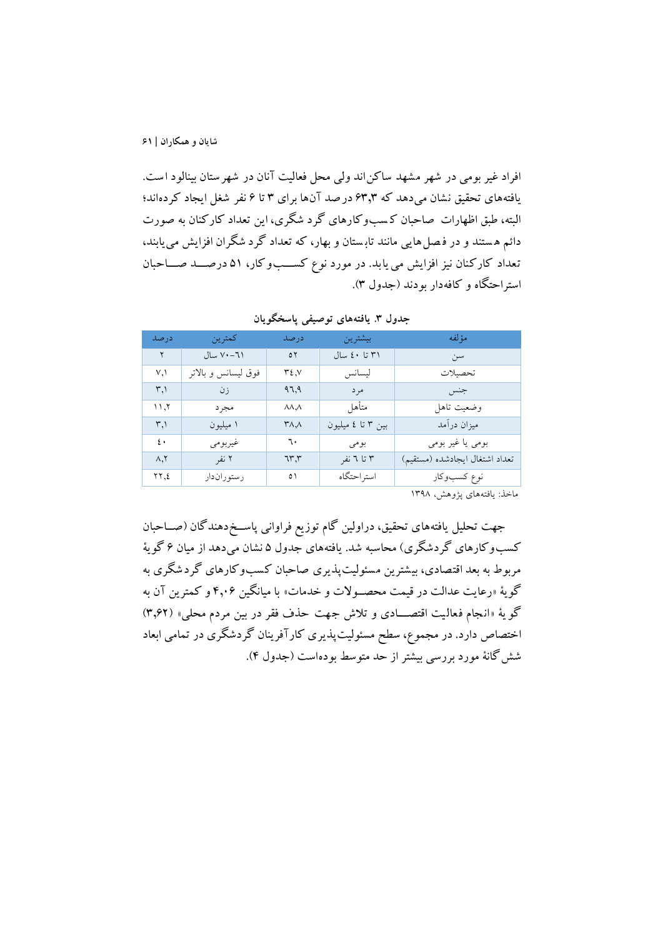افراد غير بومي در شهر مشهد ساکن اند ولي محل فعاليت آنان در شهرستان بينالود است. يافتههای تحقيق نشان ميدهد که ۶3.3 درصد آن ها برای 3 تا ۶ نفر شیل ايجاد کردهاند؛ البته، طبق اظهارات صاحبان ک سب وکارهای گرد شگری، اين تعداد کارکنان به صورت دائم ه ستند و در ف صل هايي مانند تاب ستان و بهار، که تعداد گرد شگران افزايش مييابند، تعداد کارکنان نيز افزايش مي يابد. در مورد نوع کســبوکار، ۵۱ درصـــد صـــاحبان استراحتگاه و کافهدار بودند )جدول 3(.

| در صد                   | كمترين             | در صد                      | بيشترين           | مؤ لفه                         |
|-------------------------|--------------------|----------------------------|-------------------|--------------------------------|
| ٢                       | ٧٠-٧٠ سال          | $\mathfrak{o}\,\mathsf{Y}$ | ٣١ تا ٤٠ سال      | سن                             |
| V, V                    | فوق ليسانس وبالاتر | ۷.۲۴                       | ليسانس            | تحصىلات                        |
| $\mathsf{r}$            | زن                 | 97,9                       | مر د              | جنس                            |
| ۲, ۱۱                   | مجرد               | $\lambda\lambda\lambda$    | متأهل             | وضعيت تاهل                     |
| $\mathsf{r},\mathsf{l}$ | ۱ میلیون           | ۸٫۸                        | بين ٣ تا ٤ ميليون | ميزان درآمد                    |
| $\mathfrak{L}$          | غير بو مي          | ٦٠                         | بومى              | بومی یا غیر بومی               |
| $\Lambda$ , Y           | ۲ نفر              | ٦٣,٣                       | ۳ تا ۳ نفر        | تعداد اشتغال ايجادشده (مستقيم) |
| ۲۲,٤                    | رستوران دار        | ٥١                         | استر احتگاه       | نوع كسبوكار                    |

**جدول .3 يافتههاي توصیفي پاسخگويان**

ماخذ: یافتههای پژوهش، 1398

جهت تحليل يافتههای تحقيق، دراولين گام توزيع فراواني پاسـخدهندگان (صــاحبان کسب وکارهای گردشگری) محاسبه شد. يافتههای جدول ۵ نشان مي دهد از ميان ۶ گويهٔ مربوط به بعد اقتصادی، بيشترين مسئوليت پذيری صاحبان کسب وکارهای گردشگری به گويهٔ «رعايت عدالت در قيمت محصـولات و خدمات» با ميانگين ۴٫۰۶ و کمترين آن به گو يهٔ «انجام فعاليت اقتصـــادی و تلاش جهت حذف فقر در بين مردم محلي» (٣,۶٢) اختصاص دارد. در مجموع، سطح مسئوليتپذيری کارآفرينان گردشگری در تمامي ابعاد ششگانة مورد بررسي بيشتر از حد متوسط بودهاست )جدول ۴(.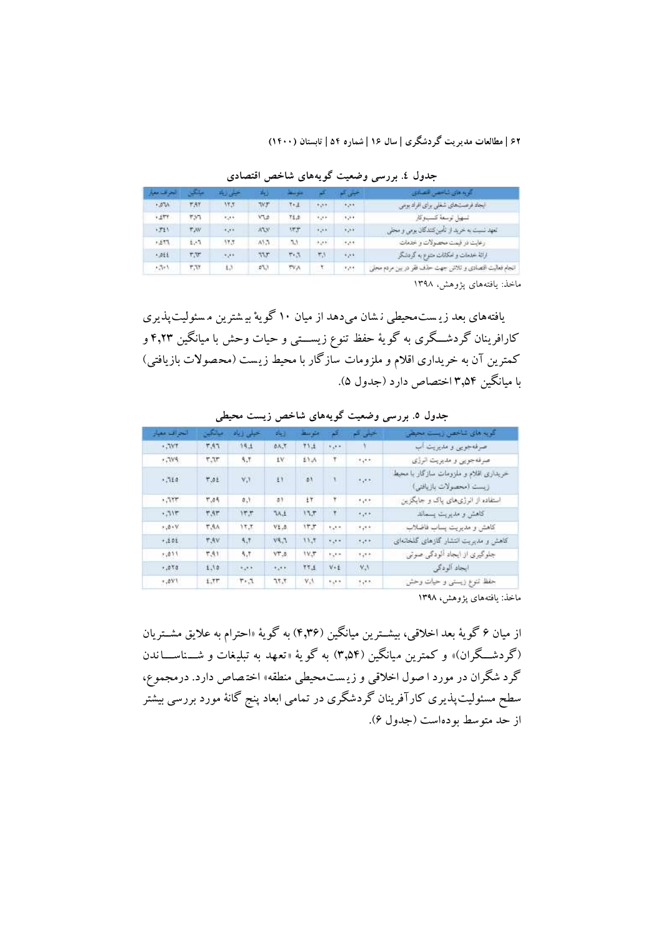| البحر افت معرة | المحاكين  | احینی زیاد                               | ಕಲ          | متوسعة  |                           | حیي ک                 | توبه مای شاخص همیای                                      |
|----------------|-----------|------------------------------------------|-------------|---------|---------------------------|-----------------------|----------------------------------------------------------|
| $-57A$         | T.AY      | VK.Y                                     | WF          | $T + 1$ | 4,99                      | 4,58                  | ایجاد فرصتهای شعلی برای افراد بومی                       |
| $+577$         | ٣.٧٦      | $\epsilon_{\pi}$ ,                       | <b>VTA</b>  | 71.5    | $+1 + 1$                  | 1.11                  | لسهيل توسعة كسبوكار                                      |
| $+711$         | <b>TW</b> | $\mathbf{r}_{\mathbf{a}}$                | WW.         | 577     | $+1.4.6$                  | $\alpha$ , $\alpha$ . | تعهد نست به خريد از تأمين كنندكان بومي و محلم            |
| 572.4          | $6, -7$   | 11.7                                     | 45.5        | 53      | $\mathcal{F}(\mathbf{r})$ | $+1.64$               | رعايت در فيمت محمولات و خدمات                            |
| <.pEE          | r.v       | $\mathcal{F}_{\mathcal{C}}(\mathcal{F})$ | 337         | 713     | 馬                         | $\epsilon_{\mu}$ .    | ارالة خدمات و امكانات متنوع به گردشگر                    |
| パト             | ٣,૫٢      | £3                                       | <b>DT.7</b> | TVA.    | ۲.                        | 1.14                  | انجام فعالیت اقتصادی و تلاش جهت حذف فقر در بین مردم مجلی |

**جدول .4 بررسي وضعیت گويههاي شاخص اقتصادي**

ماخذ: یافتههای پژوهش، 1398

يافتههای بعد زي ست محيطي ن شان ميدهد از ميان 10 گويهْ بي شترين م سئول يتپذيری کارافرينان گردشــگری به گويهٔ حفظ تنوع زيســـتي و حيات وحش با ميانگين ۴٫۲۳ و کمترين آن به خريداری اقالم و ملزومات سازگار با محيط زي ست )مح صوالت بازيافتي( با ميانگين 3.۵۴ اختصاص دارد )جدول ۵(.

| النحز اقتنا امغيار | سائکس              | حيلى زياد                                                 | وياد                               | متوابنها                     | ₹                                        | خیلی کم                                  | كويه هاي شاخص زيست محيض                                           |
|--------------------|--------------------|-----------------------------------------------------------|------------------------------------|------------------------------|------------------------------------------|------------------------------------------|-------------------------------------------------------------------|
| $+797$             | 7.47               | 14.1                                                      | 0.15                               | 11.1                         | tipe                                     |                                          | صرفهجوين و مديريت اب                                              |
| $+7195.$           | T,T                | 5,7                                                       | 1V.                                | 11.A                         | ۲                                        | orgen.                                   | صرفه جویی و مدیریت الرژی                                          |
| .714               | 17.01<br>100000111 | <b>HILLER</b><br>$\mathbf{v},\mathbf{v}$<br><b>SYSTEM</b> | ŁY.<br><b>STATISTICS</b><br>$\sim$ | <b>SSO</b><br>ø۱<br>$-0.000$ | $\mathbf{1}$<br>w<br><b>COLLECT</b>      | $\mathcal{M}^{\bullet}$                  | حريداري اقلام و ملزومات سازگار با محيط<br>زيست (محصولات بازيافتي) |
| .117               | 1.04               | 0.7                                                       | 31                                 | i٢                           | ۲                                        | $\epsilon_{\rm{eff}}$                    | استفاده از انرژی،های پاک و جایگزین                                |
| $+7117$            | <b>T.AT</b>        | 17.7                                                      | TA.1                               | 13.7                         | ۲                                        | $1 + 1 +$                                | كاهش و مديريت يسماند                                              |
| $.0 - V$           | 1,44               | 17.7                                                      | $V_{\pm}$ .3.                      | ١٣.٣                         | tete                                     | $+7.5$                                   | كاهش ومديريت يساب فاضلاب                                          |
| 7.201              | <b>T.AV</b>        | A.T                                                       | VA.3                               | 11.7                         | $\mathcal{C}_{\mathcal{R}}(\mathcal{C})$ | $1 + 1 +$                                | کاهش و مدیریت انتشار گازهای گلخانهای                              |
| $-211$             | 1,41               | 5.1                                                       | VT.O.                              | $W_{\nu}$                    | 5,77                                     | $+7.5$                                   | جلوگیری از ایجاد آلودگی صوتی                                      |
| 7.070              | 1.10               | <b>RUSH</b>                                               | <b>+1++</b>                        | 17.1                         | $V + E$                                  | V.3                                      | ايجاد آلودگی                                                      |
| $+19.7$            | 1.77               | $T - 7$                                                   | 7,75                               | $V_{\rm s}$                  | tijk t                                   | $\mathcal{F}_i \leftarrow \mathcal{F}_i$ | حفظ تنوع زيستي و حيات وحش                                         |

**جدول .5 بررسي وضعیت گويههاي شاخص زيست محیطي**

ماخذ: يافتههای پژوهش، 1398

از ميان ۶ گويهٔ بعد اخلاقي، بيشــترين ميانگين (۴٫۳۶) به گويهٔ «احترام به علايق مشــتريان (گردشگران)» و کمترين ميانگين (۳٫۵۴) به گو يهٔ «تعهد به تبليغات و شـــناســــاندن گرد شگران در مورد ا صول اخالقي و زي ست محيطي منطقه« اخت صاص دارد. درمجموع، سطح مسئوليت يذيری کارآفرينان گردشگری در تمامی ابعاد پنج گانهٔ مورد بررسی بيشتر از حد متوسط بودهاست )جدول ۶(.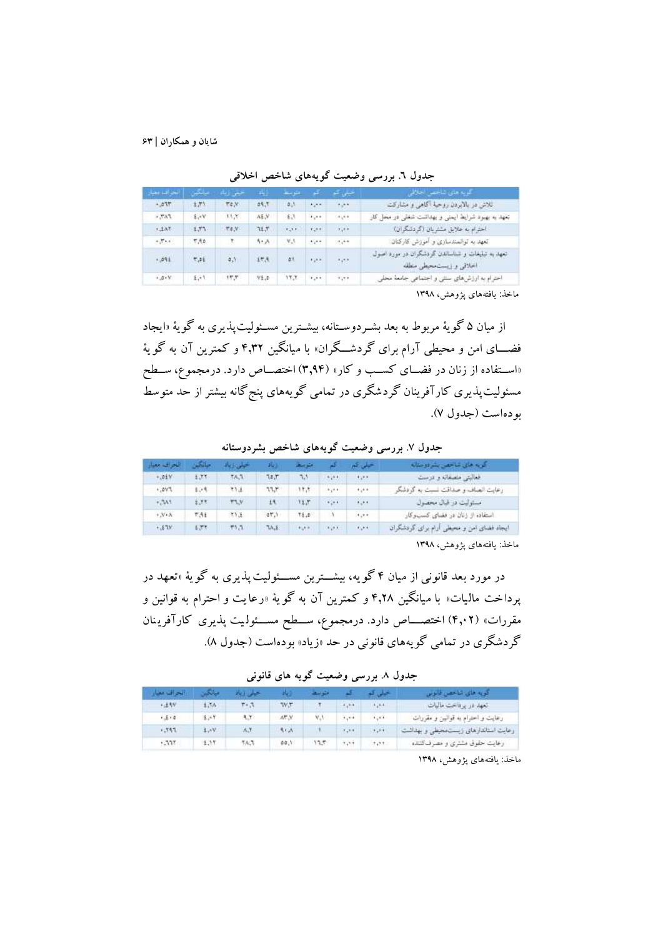| . المحد السو معينار | بالكر | حبس زياد    | al i    | المتوسطة    | <b>Table</b>                  | احیلی است                       | - کویہ ملی شاخصے اخلاقی                                                    |
|---------------------|-------|-------------|---------|-------------|-------------------------------|---------------------------------|----------------------------------------------------------------------------|
| $-277$              | 土产生   | <b>TEN</b>  | 29.7    | $B_{\perp}$ | Alpha                         | 4.11                            | اللاش در بالابردن روحية أكاهي و مشاركت                                     |
| $FAT$ , $=$         | 4.41  | 11.7        | A.E.V.  | 法选          | $\mathbf{A}$                  | $\langle A_{\alpha}A\rangle$ is | تعهد به بهبود شرایط ایمنی و بهداشت شغلی در محل کار                         |
| 7.62.7              | 1.77  | $\pi_{4,N}$ | 71.7    | $\cdots$    | $+,-1$                        | $-1.1 + 1.0$                    | اخترام به علایق مشتریان (گردشگران)                                         |
| $+7.11$             | 7,50  | ∵T:         | $5 - A$ | $V_4V$      | $\mathcal{L}_1 = \mathcal{L}$ | (1,1)                           | تعهد به توانسندسازی و آموزش کارکنان:                                       |
| $-291$              | 7,21  | $0.3 -$     | 封选      | 41.         | 525                           | 197                             | تعهد به تبلیغات و شناسالدن گردشگران در مورد اصول<br>اخلاقي و زيستحجلي مطله |
| 4.5.4               | 1.11  | 17.7        | V1.0    | 17.7        | 1.11                          | 1.11                            | احترام به ارزش های سنتی و اجتماعی جامعة محلی                               |
|                     |       |             |         |             |                               |                                 |                                                                            |

**جدول .6 بررسي وضعیت گويههاي شاخص اخالقي**

ماخذ: يافتههای پژوهش، 1398

از ميان ۵ گويهٔ مربوط به بعد بشـردوسـتانه، بيشـترين مسـئوليتپذيری به گويهٔ «ايجاد فضـــای امن و محيطي آرام برای گردشـــگران» با ميانگين ۴٫۳۲ و کمترين آن به گويهٔ «اسـتفاده از زنان در فضــای کســب و کار» (۳٫۹۴) اختصــاص دارد. درمجموع، ســطح مسئوليتپذيری کارآفرينان گردشگری در تمامی گويههای پنج گانه بيشتر از حد متوسط بودهاست )جدول ۷(.

**جدول .7 بررسي وضعیت گويههاي شاخص بشردوستانه**

| اللحراف معنار       | اختلفت | المتبلون وتبالما | 1000  | أهبلوا مستان            |                                         | سميلي شور                     | کریم های شاخص بشردوسته                    |
|---------------------|--------|------------------|-------|-------------------------|-----------------------------------------|-------------------------------|-------------------------------------------|
| $+104V$             | 1.77   | 58.5             | 14.7  | 75                      | 4.44                                    | 4.74                          | لمعاليتي منصفاته وتمرست                   |
| 1.291               | 1.4    | 文字法              | 77.7  | 17.7                    | 8,44                                    | 4,64                          | زعایت انصاف و صداقت نسبت به گردشگر        |
| $+741$              | 5.77   | <b>TAV</b>       | 14    | 15.7                    | 4.44.44                                 | $\mathcal{L}_\mathrm{c}$ and  | مستوليت در قبال محصول                     |
| $, y \cdot \lambda$ | T.51   | 253              | 27.1  | 18.0                    |                                         | $\mathcal{A}_\mathcal{A}$ and | استفاده از زنان در فضای کسب وکار          |
| Y13.4               | £399   | 717              | TA.E. | $\mathbf{r}_\mathrm{a}$ | $\mathcal{L}_{\mathcal{L}}(\mathbf{r})$ | <b>Card</b>                   | ایجاد فضای امن و محیطی ارام برای گردشگران |

ماخذ: يافتههای پژوهش، 1398

در مورد بعد قانوني از ميان ۴ گويه، بيشـــترين مســـئوليت پذيری به گويهٔ «تعهد در پرداخت ماليات» با ميانگين ۴٫۲۸ و کمترين آن به گويهٔ «رعايت و احترام به قوانين و مقررات» (۴٫۰۲) اختصــــاص دارد. درمجموع، ســـطح مســئولـيت پذيری کارآفرينان گردشگری در تمامي گويههای قانوني در حد »زياد« بودهاست )جدول 8(.

**جدول .8 بررسي وضعیت گويه هاي قانوني**

| الحراف مفار | مبانك | جيلى وباد |            | التوسط |                             | خلی ک                 | كويه فاي تناحص فأنوس                  |
|-------------|-------|-----------|------------|--------|-----------------------------|-----------------------|---------------------------------------|
| <b>+14V</b> | 1.5h  | 1.7       | TV.T       |        | 4, 14                       | 4, 44                 | المهداء وبرناخت ماليات                |
| $-5.6$      | 医二甲   | 4.7       | W.M.       | V.V    | $\mathbf{r}_\mathrm{c}$ and | 1.111                 | رعايت و احترام به قوانین و مقررات     |
| $-351$      | 1.4V  | A.Y.      | <b>SEA</b> |        | $\mathbf{r}_i$ and          | $\mathbf{r}_{\alpha}$ | رعايت استاندارهاي زيست محيطي و بهداشت |
| CMT.        | 1.11  | 5655      | 00.1       | 17.7   | $+1.1 +$                    | $+ + +$               | رعایت حقوق مشتری و مصرف کننده         |

ماخذ: يافتههای پژوهش، 1398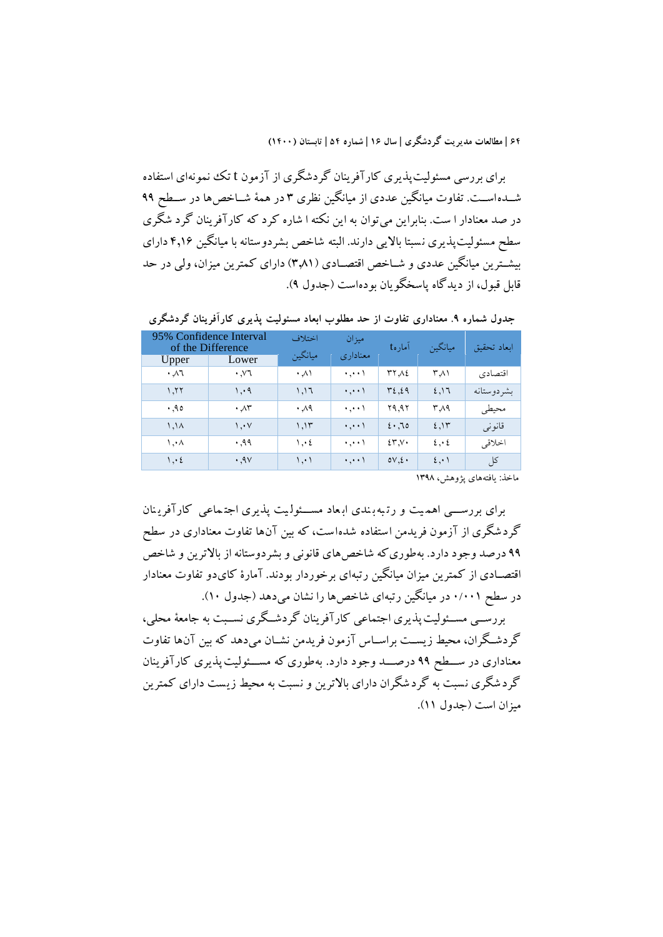برای بررسي مسئوليتپذيری کارآفرينان گردشگری از آزمون t تک نمونهای استفاده شـــدهاســـت. تفاوت ميانگين عددی از ميانگين نظری ۳ در همهٔ شـــاخصها در ســطح ۹۹ در صد معنادار ا ست. بنابراين ميتوان به اين نکته ا شاره کرد که کارآفرينان گرد شگری سطح مسئوليتپذيری نسبتا بالايي دارند. البته شاخص بشردوستانه با ميانگين ۴٫۱۶ دارای بيشترين ميانگين عددی و شــاخص اقتصــادی (٣٫٨١) دارای کمترين ميزان، ولي در حد قابل قبول، از ديدگاه پاسخگويان بودهاست )جدول 9(.

| Upper                  | 95% Confidence Interval<br>of the Difference<br>Lower | اختلاف<br>ميانگين | ميز ان<br>معناداری  | امارهt                   | ميانگين          | ابعاد تحقيق |
|------------------------|-------------------------------------------------------|-------------------|---------------------|--------------------------|------------------|-------------|
| ۰٫۸٦                   | $\cdot$ , $\vee$ 1                                    | $\cdot \wedge$    | ۱ میلی د            | ۲۲.۸٤                    | ۳.۸۱             | اقتصادي     |
| 1,77                   | ۰۹,۱                                                  | ۱.۱٦              | ۱ ا                 | ٣٤.٤٩                    | 2.17             | بشر دوستانه |
| .90                    | $\cdot \sqrt{r}$                                      | ۸۹ ۰              | ۱ ۱                 | ۲۹.۹۲                    | ۳۸۹              | محيطى       |
| $\lambda$ /, $\lambda$ | $\setminus \cdot \vee$                                | 1.15              | $\cdot$ , $\cdot$   | 2.70                     | 2,15             | قانونبي     |
| ۰۰۸.۱                  | ۹۹. ۰                                                 | $\cdot$ :         | ۱ ۱                 | 25.5                     | $2 \cdot 2$      | اخلاقي      |
| $\cdot$ : {            | .9V                                                   | ۰۰۱. ۱            | $\cdot$ , $\cdot$ ) | $\mathsf{ov}.\mathsf{E}$ | $\mathfrak{c}$ . | کل          |

**جدول شماره .9 معناداري تفاوت از حد مطلوب ابعاد مسئولیت پذيري کارآفرينان گردشگري**

ماخذ: يافتههای پژوهش، 1398

برای بررسبی اهميت و رتبه بندی ابعاد مسئوليت يذيری اجتماعی کارآفرينان گردشگری از آزمون فريدمن استفاده شده است، که بين آن ها تفاوت معناداری در سطح 99 درصد وجود دارد. بهطوریکه شاخصهای قانوني و بشردوستانه از باالترين و شاخص اقتصووادی از کمترين ميزان ميانگين رتبهای برخوردار بودند. آمارۀ کایدو تفاوت معنادار در سطح ۰/۰۰۱ در ميانگين رتبهای شاخص ها را نشان مي دهد (جدول ۱۰).

بررســي مســئوليت پذيری اجتماعي کارآفرينان گردشــگری نســبت به جامعهٔ محلي، گردشگران، محيط زيست براسـاس آزمون فريدمن نشــان مي دهد که بين آنها تفاوت معناداری در ســـطح ۹۹ درصــــد وجود دارد. به طوری که مســـئوليت پذيری کارآفرينان گردشگری نسبت به گردشگران دارای باالترين و نسبت به محيط زيست دارای کمترين ميزان است )جدول 11(.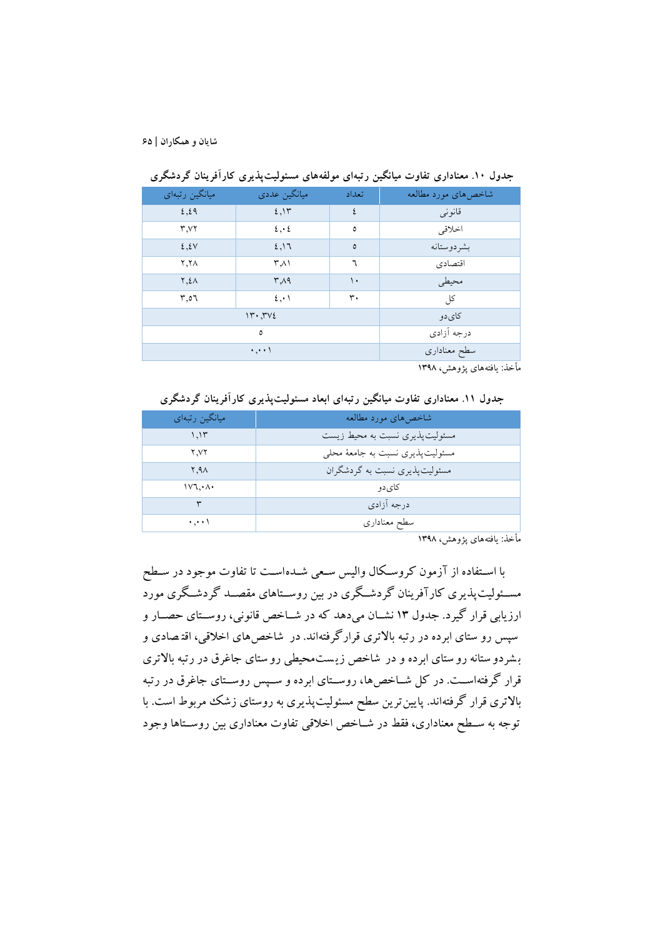| میانگین رتبهای | ميانگين عددي | تعداد        | شاخصهای مورد مطالعه |
|----------------|--------------|--------------|---------------------|
| 2.29           | 2.15         | ٤            | قانونبي             |
| T.VY           | $2 \cdot 2$  | ٥            | اخلاقي              |
| 2.5V           | 2,17         | ٥            | بشردوستانه          |
| ۲.۲۸           | ۳.۸۱         | ٦            | اقتصادي             |
| <b>7.2</b>     | $r_A$        | ۱۰           | محيطى               |
| 0.1            | 2.1          | ۳۰           | کل                  |
|                | 11.71        | کای دو       |                     |
|                | ٥            | درجه آزادي   |                     |
|                | ۱ میلیو      | سطح معناداري |                     |

**جدول .10 معناداري تفاوت میانگین رتبهاي مولفههاي مسئولیتپذيري کارآفرينان گردشگري**

مأخذ: يافتههای پژوهش، 1398

**جدول .11 معناداري تفاوت میانگین رتبهاي ابعاد مسئولیتپذيري کارآفرينان گردشگري**

| میانگین رتبهای   | شاخصهای مورد مطالعه              |
|------------------|----------------------------------|
| ۱٬۱۳             | مسئولیتپذیری نسبت به محیط زیست   |
| ۲.V۲             | مسئولیتپذیری نسبت به جامعهٔ محلی |
| 1.9 <sub>A</sub> | مسئولیتپذیری نسبت به گردشگران    |
| ۱۷٦.۰۸۰          | کای دو                           |
| ٣                | درجه أزادي                       |
| ۱ میب            | سطح معنادارى                     |

مأخذ: يافتههای پژوهش، 1398

با اسـتفاده از آزمون کروسـکال واليس سـعي شــدهاسـت تا تفاوت موجود در سـطح مســئوليتپذيری کارآفرينان گردشــگری در بين روســتاهای مقصــد گردشــگری مورد ارزيابي قرار گيرد. جدول ١٣ نشــان مي دهد که در شــاخص قانوني، روســتای حصــار و سپس رو ستای ابرده در رتبه باالتری قرارگرفتهاند. در شاخص های اخالقي، اقت صاد ی و ب شردو ستانه رو ستای ابرده و در شاخص زي ست محيطي رو ستای جاغرق در رتبه باالتری قرار گرفتهاســت. در کل شــاخصها، روســتای ابرده و ســپس روســتای جاغرق در رتبه باالتری قرار گرفتهاند. پايينترين سطح مسئوليتپذيری به روستای زشک مربوط است. با توجه به ســطح معناداری، فقط در شــاخص اخلاقی تفاوت معناداری بين روســتاها وجود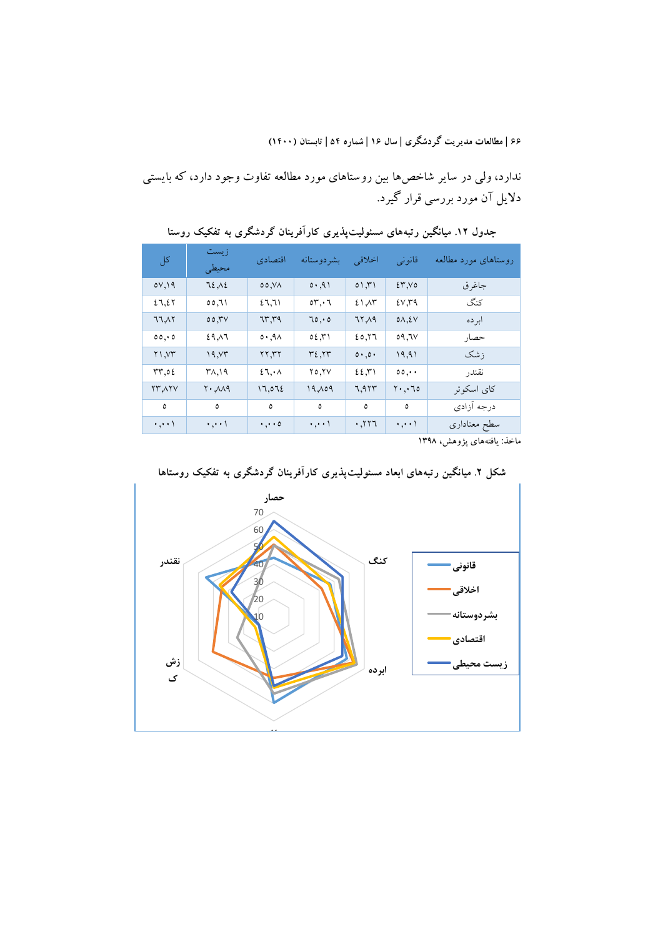ندارد، ولي در ساير شاخص ها بين روستاهای مورد مطالعه تفاوت وجود دارد، که بايستي داليل آن مورد بررسي قرار گيرد.

| کل                  | ز يست<br>محيطى                                      | اقتصادي             | بشردوستانه            | اخلاقي | قانونى               | روستاهای مورد مطالعه |
|---------------------|-----------------------------------------------------|---------------------|-----------------------|--------|----------------------|----------------------|
| 0V,19               | 72.12                                               | 00, VA              | 0.91                  | 01,71  | 25.00                | جاغرق                |
| 27,27               | ۲۱,٥٥                                               | 27,71               | $\circ r, \cdot \tau$ | 21.4   | 2V,79                | كنگ                  |
| 77.17               | 00,7V                                               | ۳۳٫۳۹               | 70,0                  | 77,19  | $0\Lambda, \Sigma V$ | ابرده                |
| 00, 00              | ۶۹.۸٦                                               | 0.9A                | ۲٦,٤٥                 | 20,77  | 7۷, ۹۵               | حصار                 |
| Y1,YY               | 19, YT                                              | ۲۲,۳۲               | ۳٤,۲۳                 | 0.00   | 19,91                | ز شک                 |
| rr,02               | $\mathsf{r}_{\Lambda,\mathsf{1}}$                   | 27.4                | ۲٥٫۲۷                 | 22.7   | $\circ \circ \cdots$ | نقندر                |
| <b>YMAYV</b>        | $\mathsf{Y} \cdot \mathsf{A} \mathsf{A} \mathsf{A}$ | 17,072              | 19,09                 | 7,973  | ۲۰٫۰٦٥               | كاي اسكوئر           |
| ٥                   | ٥                                                   | $\mathsf{o}$        | ٥                     | ٥      | ٥                    | درجه آزادى           |
| $\cdot$ , $\cdot$ ) | $\cdot$ , $\cdot$ \                                 | $\cdot$ , $\cdot$ 0 | ۱ ا                   | ۲۲٦,۰  | $\cdot$ , $\cdot$ )  | سطح معناداري         |

**جدول .12 میانگین رتبههاي مسئولیتپذيري کارآفرينان گردشگري به تفكیک روستا**

ماخذ: يافتههای پژوهش، 1398



**شكل .2 میانگین رتبههاي ابعاد مسئولیتپذيري کارآفرينان گردشگري به تفكیک روستاها**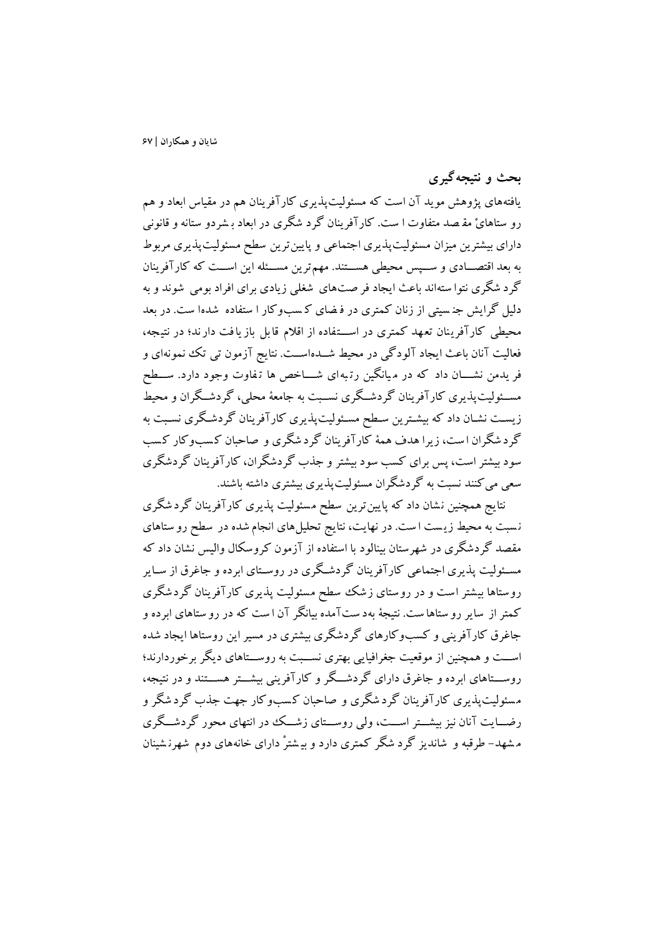**بحث و نتیجهگیري**

يافتههای پژوهش مويد آن است که مسئوليتپذيری کارآفرينان هم در مقياس ابعاد و هم رو ستاهایْ مقـصد متفاوت ا ست. کارآفرینان گرد شگری در ابعاد بـشردو ستانه و قانونی دارای بيشترين ميزان مسئوليتپذيری اجتماعی و پايين ترين سطح مسئوليتپذيری مربوط به بعد اقتصـادی و ســـپس محيطي هســـتند. مهمترين مســـئله اين اســت که کارآفرينان گرد شگر ی نتوا سته اند باعث ايجاد فر صت های شیل ي زيادی برای افراد بومي ش وند و به دليل گرايش جنسيتي از زنان کمتری در فرضای کسبوکار ا ستفاده شدها ست. در بعد محيطي کارآفرينان تعهد کمتري در اسـتفاده از اقلام قابل باز يافت دارند؛ در نتيجه، فعاليت آنان باعث ايجاد آلودگي در محيط شـــدهاســـت. نتايج آزمون تي تک نممونهای و فر يدمن نشــــان داد که در مـيانگين رتـبهای شـــــاخص ها تـفاوت وجود دارد. ســـطح مســئوليتپذيری کارآفرينان گردشــگری نســبت به جامعهٔ محلي، گردشــگران و محيط زيست نشـان داد که بيشـترين سـطح مسـئوليت<code>پذيری کارآفرينان گردشـگری نسـبت به</code> گرد شگران است، زيرا هدف همهٔ کارآفرينان گرد شگري و صاحبان کسبوکار کسب سود بيشتر است، پس برای کسب سود بيشتر و جذب گردشگران، کارآفرينان گردشگری سعي ميکنند نسبت به گردشگران مسئوليتپذيری بيشتری داشته باشند.

نتايج همچنين نشان داد که پايين ترين سطح مسئوليت پذيری کارآفرينان گردشگری نسبت به محيط زيست است. در نهايت، نتايج تحليلهای انجام شده در سطح رو ستاهای مقصد گردشگری در شهرستان بینالود با استفاده از آزمون کروسکال والیس نشان داد که مسئوليت پذيری اجتماعي کارآفرينان گردشگری در روسـتای ابرده و جاغرق از سـاير روستاها بيشتر است و در روستای زشک سطح مسئوليت پذيری کارآفرينان گردشگری کمتر از ساير رو ستاها ست. نتيجهٔ بهد ستآمده بيانگر آن ا ست که در رو ستاهای ابرده و جاغرق کارآفريني و کسبوکارهای گردشگری بيشتری در مسيراين روستاها ايجاد شده اســت و همچنين از موقعيت جغرافيايي بهتری نســبت به روســتاهای ديگر برخوردارند؛ روســـتاهاي ابرده و جاغرق داراي گردشـــگر و کارآفريني بيشـــتر هســـتند و در نتيجه، مسئولت يذيری کارآفرينان گرد شگری و صاحبان کسب وکار جهت جذب گرد شگر و رضــايت آنان نيز بيشــتر اســت، ولي روســـتای زشــک ددر انتهای محور گردشــگری م شهد - طرقبه و شاند يز گرد شگر کمتر ی دارد و بي شت رْ دارای خانههای دوم شهرن ش ينان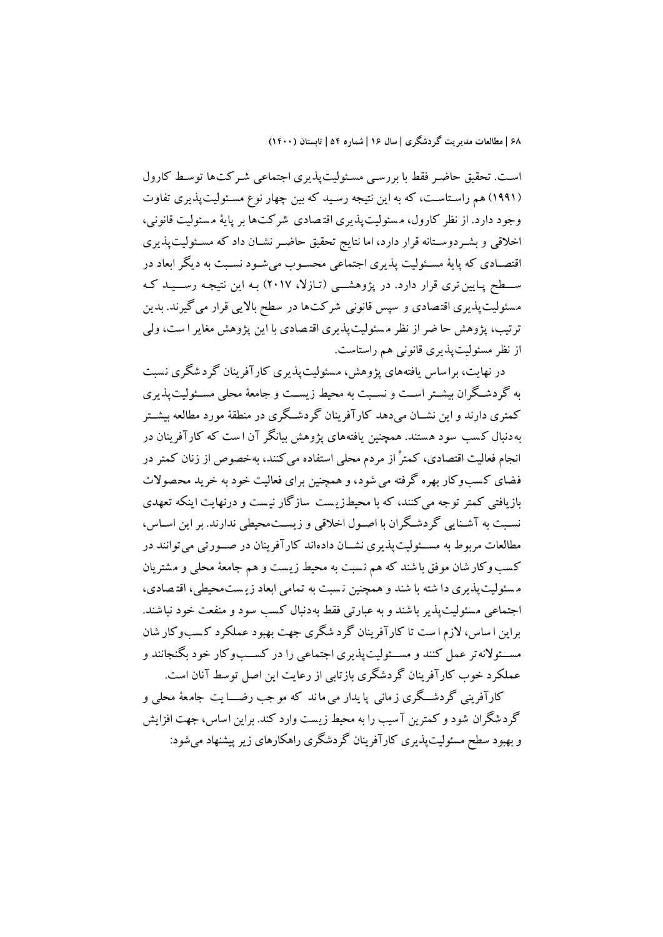است. تحقيق حاضر فقط با بررسي مسئوليتپذيری اجتماعي شـرکت۱ه توسط کارول (١٩٩١) هم راستاست، که به اين نتيجه رسـيد که بين چهار نوع مسـئوليتپذيری تفاوت وجود دارد. از نظر کارول، مسئوليت يذيری اقتصادی شرکت ها بر پايهٔ مسئوليت قانوني، اخلاقي و بشـردوسـتانه قرار دارد، اما نتايج تحقيق حاضـر نشـان داد که مسـئوليتپذيری اقتصـادی که پايهٔ مسـئوليت پذيری اجتماعي محسـوب مي شـود نسـبت به ديگر ابعاد در سطح پايين تری قرار دارد. در پژوهشــی (تـازلا، ۲۰۱۷) بـه اين نتيجـه رســيـد کـه مسئوليتپذيری اقتصادی و سپس قانونی شرکت ها در سطح بالايي قرار مي گيرند. بدين ترتيب، پژوهش حا ضر از نظر مسئوليتپذيري اقتصادي با اين پژوهش مغاير ا ست، ولي از نظر مسئوليتپذيری قانوني هم راستاست.

در نهايت، براساس يافتههای پژوهش، مسئوليتپذيری کارآفرينان گردشگری نسبت به گردشگران بيشـتر اسـت و نسـبت به محيط زيسـت و جامعهٔ محلي مسـئوليتپذيری کمتری دارند و اين نشــان مي.دهد کارآفرينان گردشــگری در منطقهٔ مورد مطالعه بيشــتر بهدنبال ک سب سود ه ستند. همچنين ي افتههای پژوهش بيانگر آن ا ست که کارآفرينان د ر انجام فعاليت اقتصادی، کمترْ از مردم محلي استفاده ميکنند، بهخصوص از زنان کمتر در فضای کسبوکار بهره گرفته مي شود، و همچنين برای فعاليت خود به خريد محصولات بازيافتي کمتر توجه ميکنند، که با محيطزي ست سازگار ني ست و درن هايت اينکه تعهدی نسبت به آشـنايي گردشـگران با اصـول اخلاقي و زيسـتمحيطي ندارند. بر اين اسـاس، مطالعات مربوط به مســئوليتپذيری نشــان دادهاند کارآفرينان در صــورتي مي توانند در کسب وکار شان موفق با شند که هم نسبت به محيط زيست و هم جامعهٔ محلي و مشتريان م سئوليت پذيری دا شته با شند و همچنين نسبت به تمامی ابعاد زيـست محيطي، اقتـصادی، اجتماعي مسئوليت يذير باشند و به عبارتي فقط به دنبال كسب سود و منفعت خود نباشند. براين ا ساس، الزم ا ست تا کارآفرينان گرد شگری جهت بهبود عملکرد ک سب وکار شان مســئولانهتر عمل کنند و مســئوليتپذيری اجتماعي را در کســبوکار خود بگنجانند و عملکرد خوب کارآفرينان گردشگری بازتابي از رعايت اين اصل توسط آنان است. کارآفريني گردشــگري ز ماني پا يدار مي ماند که موجب رضـــا يت جامعهٔ محلي و

گردشگران شود و کمترين آسيب را به محيط زيست وارد کند. براين اساس، جهت افزايش و بهبود سطح مسئوليتپذيری کارآفرينان گردشگری راهکارهای زير پيشنهاد ميشود: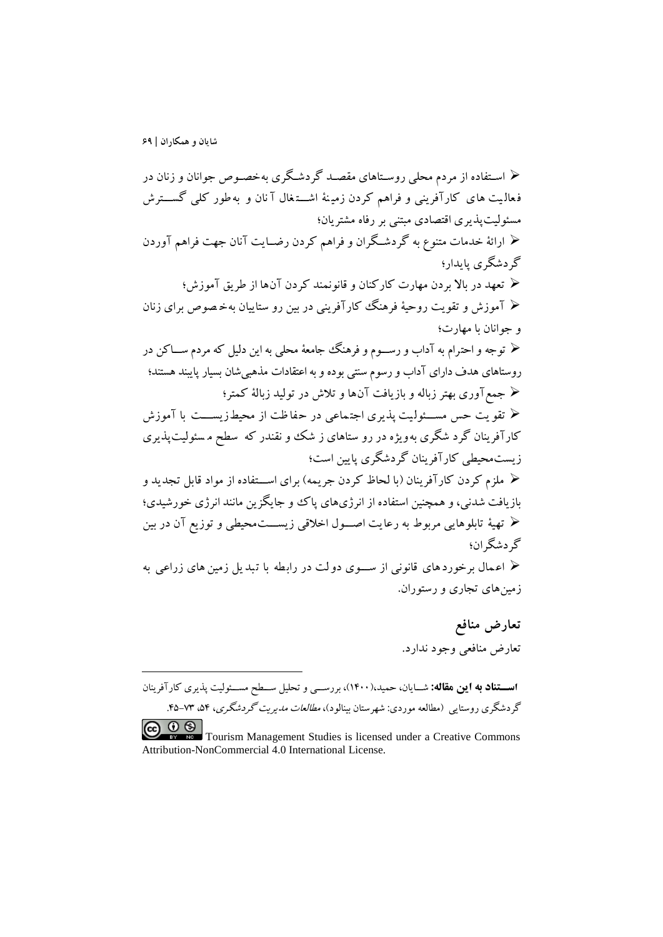-

 اسوتفاده از مردم محلي روسوتاهای مقصود گردشوگری بهخصووص جوانان و زنان در فعاليت های کارآفريني و فراهم کردن زمينهٔ اشتغال آنان و به طور کلي گســـترش مسئوليتپذيری اقتصادی مبتني بر رفاه مشتريان؛ ارائة خدمات متنوع به گردشووگران و فراهم کردن رضووايت آنان جهت فراهم آوردن گردشگری پايدار؛ تعهد در باال بردن مهارت کارکنان و قانونمند کردن آنها از طريق آموزش؛ آموزش و تقويت روحية فرهنگ کارآفريني در بين رو ستاييان به خ صوص برا ی زنان و جوانان با مهارت؛ توجه و احت رام به آداب و رسووووم و فرهنگ جامعة محلي به اين دليل که مردم سووواکن در روستاهای هدف دارای آداب و رسوم سنتي بودهو به اعتقادات مذهبيشان بسيار پايبند هستند؛ جمعآوری بهتر زباله و بازيافت آنها و تالش در توليد زبالة کمتر؛ ح تقو يت حس مســـئولـيت پذيری اجتـماعی در حفاظت از محيطـزيســــت با آموزش کارآفرينان گرد شگری به<code>ويژه در</code> رو ستاهای ز شک و نقندر که سطح م سئوليتپذيری زيستمحيطي کارآفرينان گردشگری پايين است؛ ملزم کردن کارآفرينان )با لحا کردن جريمه( برای اسوووتفاده از مواد قابل تجديد و بازيافت شدني، و همچنين استفاده از انرژیهای پاک و جايگزين مانند انرژی خورشيدی؛ تهية تابلوهايي مربوط به رعايت اصوووول اخالقي زيسوووتمحيطي و توزيع آن در بين گردشگران؛ اع مال برخورد های قانوني از سووووی دو لت در راب طه با ت بد يل زمين ها ی زراعي به زمينهای تجاری و رستوران.

> **تعارض منافع** 1 تعارض منافعي وجود ندارد.

**اسستناد به اين مقاله:** شــايان، حميد،(۱۴۰۰)، بررســي و تحليل ســطح مســئوليت پذيري كارآفرينان گردشگری روستايي (مطالعه موردي: شهرستان بينالود)، *مطالعات مديريت گردشگری*، ۵۴-۳۵-۴۵.

**CO OS**<br>Tourism Management Studies is licensed under a Creative Commons Attribution-NonCommercial 4.0 International License.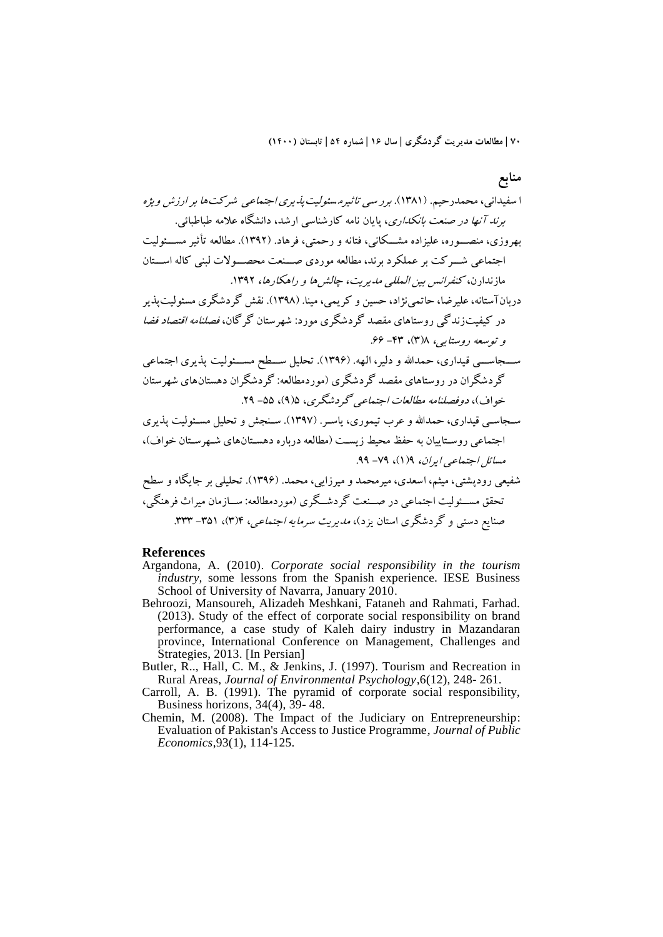**منابع** ا سف يداني، محمدرحيم. )1381(. برر س ي تاثيرم سئول يتپذيری اجتماعي شرکت ها بر ارزش ويژه برند آنها در صنعت بانکداری، پايان نامه کارشناسي ارشد، دانشگاه عالمه طباطبائي. بهروزی، منصووووره، عليزاده مشوووکان ي، فتانه و رحمت ي، فرهاد . )1392(. مطالعه تأث ير مسوووئولي ت اجتماع ي شووورکت بر عملکرد برند، مطالعه موردی صووونعت محصووووالت لبن ي کاله اسوووتان مازندارن، کنفرانس بين المللي مديريت، چالشها و راهکارها، .1392 دربانآستانه،عليرضا، حاتمينژاد، حسين و کريمي، مينا. )1398(. نقش گردشگری مسئوليتپذير در کيفيتزندگي روستاهای مقصد گردشگری مورد: شهرستان گرگان ، فصلنامه اق تصاد فضا و توسعه روستايي، 8)3(، -۴3 .۶۶ سوووجاسوووي قيداری، حمداهلل و دلير، الهه. ) 139۶(. تحليل سوووطح مسوووئوليت پذيری اجتماعي گردشگران در روستاهای مقصد گردشگری )موردمطالعه: گردشگران دهستانهای شهرستان خواف(، دوفصلنامه مطالعات اجتماعي گردشگری، ۵)9(، -۵۵ .29 سوجاسوي قيداری، حمداهلل و عرب تيموری، ياسور. )139۷(. سونجش و تحليل مسوئوليت پذيری اجتماعي روسوتاييان به حفظ محيط زيسوت )مطالعه درباره دهسوتانهای شوهرسوتان خواف(، مسائل اجتماعي ايران، 9)1(، -۷9 .99 شفيعي رودپشتي ، ميثم، اسعدی، ميرمحمد و ميرزايي، محمد. ) 139۶(. تحليلي بر جايگاه و سطح تحقق مسووئوليت اجتماعي در صوونعت گردشووگری )موردمطالعه: سووازمان ميراث فرهنگي، صنايع دستي و گردشگری استان يزد(، مديريت سرمايه اجتماعي، ۴)3(، -3۵1 .333

### **References**

- Argandona, A. (2010). *Corporate social responsibility in the tourism industry,* some lessons from the Spanish experience. IESE Business School of University of Navarra, January 2010.
- Behroozi, Mansoureh, Alizadeh Meshkani, Fataneh and Rahmati, Farhad. (2013). Study of the effect of corporate social responsibility on brand performance, a case study of Kaleh dairy industry in Mazandaran province, International Conference on Management, Challenges and Strategies, 2013. [In Persian]
- Butler, R.., Hall, C. M., & Jenkins, J. (1997). Tourism and Recreation in Rural Areas, *Journal of Environmental Psychology*,6(12), 248- 261.
- Carroll, A. B. (1991). The pyramid of corporate social responsibility, Business horizons, 34(4), 39- 48.
- Chemin, M. (2008). The Impact of the Judiciary on Entrepreneurship: Evaluation of Pakistan's Access to Justice Programme*, Journal of Public Economics*,93(1), 114-125.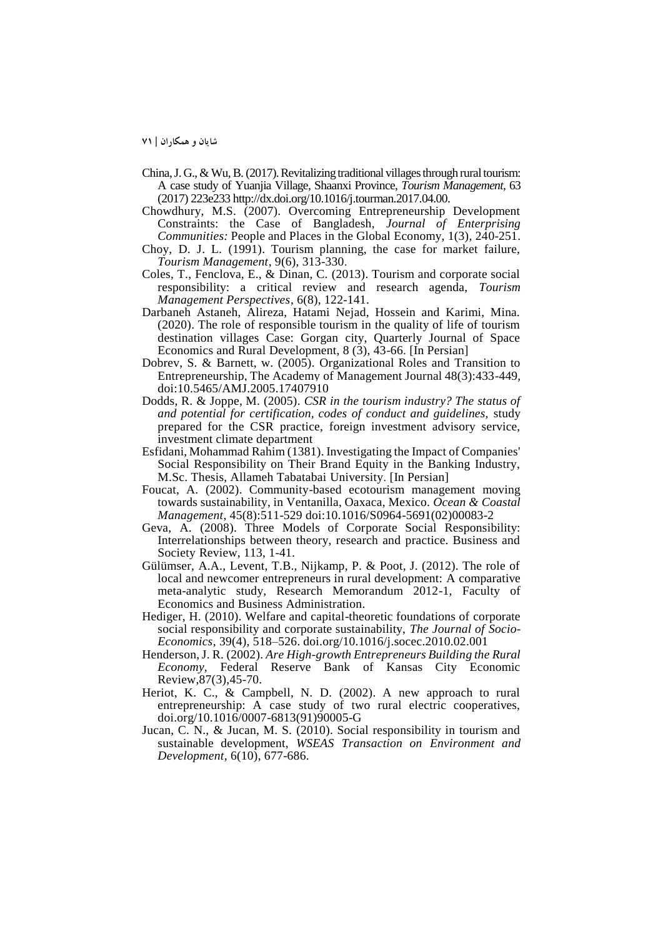- China, J. G., & Wu, B. (2017). Revitalizing traditional villages through rural tourism: A case study of Yuanjia Village, Shaanxi Province, *Tourism Management,* 63 (2017) 223e233 http://dx.doi.org/10.1016/j.tourman.2017.04.00.
- Chowdhury, M.S. (2007). Overcoming Entrepreneurship Development Constraints: the Case of Bangladesh, *Journal of Enterprising Communities:* People and Places in the Global Economy, 1(3), 240-251.
- Choy, D. J. L. (1991). Tourism planning, the case for market failure, *Tourism Management*, 9(6), 313-330.
- Coles, T., Fenclova, E., & Dinan, C. (2013). Tourism and corporate social responsibility: a critical review and research agenda, *Tourism Management Perspectives*, 6(8), 122-141.
- Darbaneh Astaneh, Alireza, Hatami Nejad, Hossein and Karimi, Mina. (2020). The role of responsible tourism in the quality of life of tourism destination villages Case: Gorgan city, Quarterly Journal of Space Economics and Rural Development, 8 (3), 43-66. [In Persian]
- Dobrev, S. & Barnett, w. (2005). Organizational Roles and Transition to Entrepreneurship, The Academy of Management Journal 48(3):433-449, doi:10.5465/AMJ.2005.17407910
- Dodds, R. & Joppe, M. (2005). *CSR in the tourism industry? The status of and potential for certification, codes of conduct and guidelines,* study prepared for the CSR practice, foreign investment advisory service, investment climate department
- Esfidani, Mohammad Rahim (1381). Investigating the Impact of Companies' Social Responsibility on Their Brand Equity in the Banking Industry, M.Sc. Thesis, Allameh Tabatabai University. [In Persian]
- Foucat, A. (2002). Community-based ecotourism management moving towards sustainability, in Ventanilla, Oaxaca, Mexico. *Ocean & Coastal Management*, 45(8):511-529 doi:10.1016/S0964-5691(02)00083-2
- Geva, A. (2008). Three Models of Corporate Social Responsibility: Interrelationships between theory, research and practice. Business and Society Review, 113, 1-41.
- Gülümser, A.A., Levent, T.B., Nijkamp, P. & Poot, J. (2012). The role of local and newcomer entrepreneurs in rural development: A comparative meta-analytic study, Research Memorandum 2012-1, Faculty of Economics and Business Administration.
- Hediger, H. (2010). Welfare and capital-theoretic foundations of corporate social responsibility and corporate sustainability, *The Journal of Socio-Economics*, 39(4), 518–526. doi.org/10.1016/j.socec.2010.02.001
- Henderson, J. R. (2002). *Are High-growth Entrepreneurs Building the Rural Economy,* Federal Reserve Bank of Kansas City Economic Review,87(3),45-70.
- Heriot, K. C., & Campbell, N. D. (2002). A new approach to rural entrepreneurship: A case study of two rural electric cooperatives, doi.org/10.1016/0007-6813(91)90005-G
- Jucan, C. N., & Jucan, M. S. (2010). Social responsibility in tourism and sustainable development, *WSEAS Transaction on Environment and Development*, 6(10), 677-686.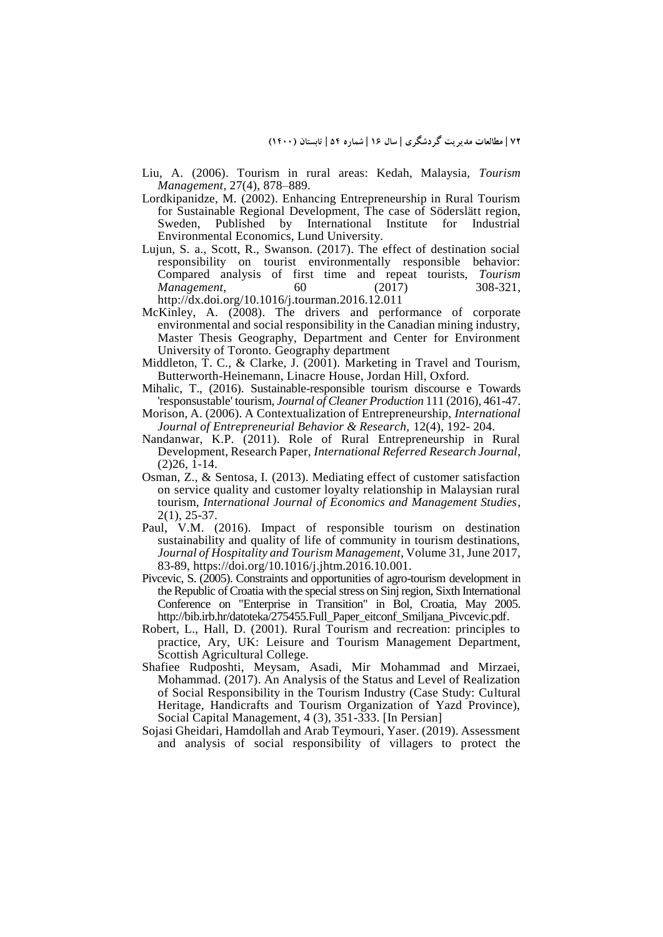- Liu, A. (2006). Tourism in rural areas: Kedah, Malaysia, *Tourism Management*, 27(4), 878–889.
- Lordkipanidze, M. (2002). Enhancing Entrepreneurship in Rural Tourism for Sustainable Regional Development, The case of Söderslätt region, Sweden, Published by International Institute for Industrial Environmental Economics, Lund University.
- Lujun, S. a., Scott, R., Swanson. (2017). The effect of destination social responsibility on tourist environmentally responsible behavior: Compared analysis of first time and repeat tourists, *Tourism Management*, 60 (2017) http://dx.doi.org/10.1016/j.tourman.2016.12.011
- McKinley, A. (2008). The drivers and performance of corporate environmental and social responsibility in the Canadian mining industry, Master Thesis Geography, Department and Center for Environment University of Toronto. Geography department
- Middleton, T. C., & Clarke, J. (2001). Marketing in Travel and Tourism, Butterworth-Heinemann, Linacre House, Jordan Hill, Oxford.
- Mihalic, T., (2016). Sustainable-responsible tourism discourse e Towards 'responsustable' tourism, *Journal of Cleaner Production* 111 (2016), 461-47.
- Morison, A. (2006). A Contextualization of Entrepreneurship, *International Journal of Entrepreneurial Behavior & Research,* 12(4), 192- 204.
- Nandanwar, K.P. (2011). Role of Rural Entrepreneurship in Rural Development, Research Paper, *International Referred Research Journal*, (2)26, 1-14.
- Osman, Z., & Sentosa, I. (2013). Mediating effect of customer satisfaction on service quality and customer loyalty relationship in Malaysian rural tourism, *International Journal of Economics and Management Studies*, 2(1), 25-37.
- Paul, V.M. (2016). Impact of responsible tourism on destination sustainability and quality of life of community in tourism destinations, *Journal of Hospitality and Tourism Management*, Volume 31, June 2017, 83-89, https://doi.org/10.1016/j.jhtm.2016.10.001.
- Pivcevic, S. (2005). Constraints and opportunities of agro-tourism development in the Republic of Croatia with the special stress on Sinj region, Sixth International Conference on "Enterprise in Transition" in Bol, Croatia, May 2005. http://bib.irb.hr/datoteka/275455.Full\_Paper\_eitconf\_Smiljana\_Pivcevic.pdf.
- Robert, L., Hall, D. (2001). Rural Tourism and recreation: principles to practice, Ary, UK: Leisure and Tourism Management Department, Scottish Agricultural College.
- Shafiee Rudposhti, Meysam, Asadi, Mir Mohammad and Mirzaei, Mohammad. (2017). An Analysis of the Status and Level of Realization of Social Responsibility in the Tourism Industry (Case Study: Cultural Heritage, Handicrafts and Tourism Organization of Yazd Province), Social Capital Management, 4 (3), 351-333. [In Persian]
- Sojasi Gheidari, Hamdollah and Arab Teymouri, Yaser. (2019). Assessment and analysis of social responsibility of villagers to protect the